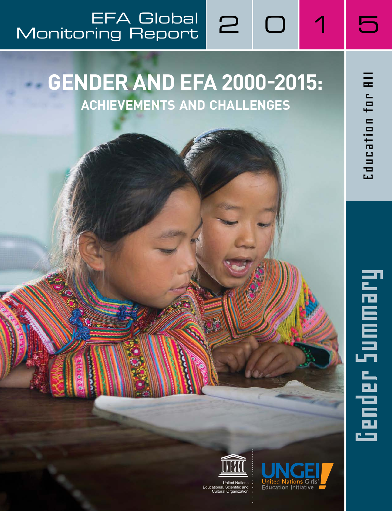## Monitoring Report EFA Global 2 0 1 5

## **GENDER AND EFA 2000-2015: achievements and challenges**



Educational, Scientific and Cultural Orga



Education for All Education for All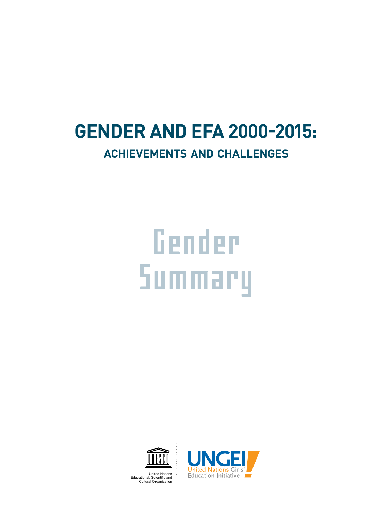## **GENDER AND EFA 2000-2015: achievements and challenges**

# Gender Summary



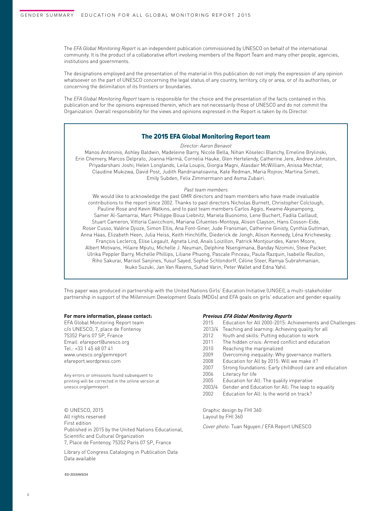The *EFA Global Monitoring Report* is an independent publication commissioned by UNESCO on behalf of the international community. It is the product of a collaborative effort involving members of the Report Team and many other people, agencies, institutions and governments.

The designations employed and the presentation of the material in this publication do not imply the expression of any opinion whatsoever on the part of UNESCO concerning the legal status of any country, territory, city or area, or of its authorities, or concerning the delimitation of its frontiers or boundaries.

The *EFA Global Monitoring Report* team is responsible for the choice and the presentation of the facts contained in this publication and for the opinions expressed therein, which are not necessarily those of UNESCO and do not commit the Organization. Overall responsibility for the views and opinions expressed in the Report is taken by its Director.

### The 2015 EFA Global Monitoring Report team

*Director: Aaron Benavot*

Manos Antoninis, Ashley Baldwin, Madeleine Barry, Nicole Bella, Nihan Köseleci Blanchy, Emeline Brylinski, Erin Chemery, Marcos Delprato, Joanna Härmä, Cornelia Hauke, Glen Hertelendy, Catherine Jere, Andrew Johnston, Priyadarshani Joshi, Helen Longlands, Leila Loupis, Giorgia Magni, Alasdair McWilliam, Anissa Mechtar, Claudine Mukizwa, David Post, Judith Randrianatoavina, Kate Redman, Maria Rojnov, Martina Simeti, Emily Subden, Felix Zimmermann and Asma Zubairi.

#### *Past team members*

We would like to acknowledge the past GMR directors and team members who have made invaluable contributions to the report since 2002. Thanks to past directors Nicholas Burnett, Christopher Colclough, Pauline Rose and Kevin Watkins, and to past team members Carlos Aggio, Kwame Akyeampong, Samer Al-Samarrai, Marc Philippe Boua Liebnitz, Mariela Buonomo, Lene Buchert, Fadila Caillaud, Stuart Cameron, Vittoria Cavicchioni, Mariana Cifuentes-Montoya, Alison Clayson, Hans Cosson-Eide, Roser Cusso, Valérie Djioze, Simon Ellis, Ana Font-Giner, Jude Fransman, Catherine Ginisty, Cynthia Guttman, Anna Haas, Elizabeth Heen, Julia Heiss, Keith Hinchliffe, Diederick de Jongh, Alison Kennedy, Léna Krichewsky, François Leclercq, Elise Legault, Agneta Lind, Anaïs Loizillon, Patrick Montjourides, Karen Moore, Albert Motivans, Hilaire Mputu, Michelle J. Neuman, Delphine Nsengimana, Banday Nzomini, Steve Packer, Ulrika Peppler Barry, Michelle Phillips, Liliane Phuong, Pascale Pinceau, Paula Razquin, Isabelle Reullon, Riho Sakurai, Marisol Sanjines, Yusuf Sayed, Sophie Schlondorff, Céline Steer, Ramya Subrahmanian, Ikuko Suzuki, Jan Van Ravens, Suhad Varin, Peter Wallet and Edna Yahil.

This paper was produced in partnership with the United Nations Girls' Education Initiative (UNGEI), a multi-stakeholder partnership in support of the Millennium Development Goals (MDGs) and EFA goals on girls' education and gender equality.

#### **For more information, please contact:**

EFA Global Monitoring Report team c/o UNESCO, 7, place de Fontenoy 75352 Paris 07 SP, France Email: efareport@unesco.org Tel.: +33 1 45 68 07 41 www.unesco.org/gemreport efareport.wordpress.com

Any errors or omissions found subsequent to printing will be corrected in the online version at unesco.org/gemreport.

© UNESCO, 2015 All rights reserved First edition Published in 2015 by the United Nations Educational, Scientific and Cultural Organization 7, Place de Fontenoy, 75352 Paris 07 SP, France

Library of Congress Cataloging in Publication Data Data available

#### *Previous EFA Global Monitoring Reports*

- 2015 Education for All 2000-2015: Achievements and Challenges
- 2013/4 Teaching and learning: Achieving quality for all
- 2012 Youth and skills: Putting education to work
- 2011 The hidden crisis: Armed conflict and education
- 2010 Reaching the marginalized
- 2009 Overcoming inequality: Why governance matters
- 2008 Education for All by 2015: Will we make it?
- 2007 Strong foundations: Early childhood care and education 2006 Literacy for life
- 
- 2005 Education for All: The quality imperative
- 2003/4 Gender and Education for All: The leap to equality
- 2002 Education for All: Is the world on track?

Graphic design by FHI 360 Layout by FHI 360

*Cover photo:* Tuan Nguyen / EFA Report UNESCO

ED-2015/WS/24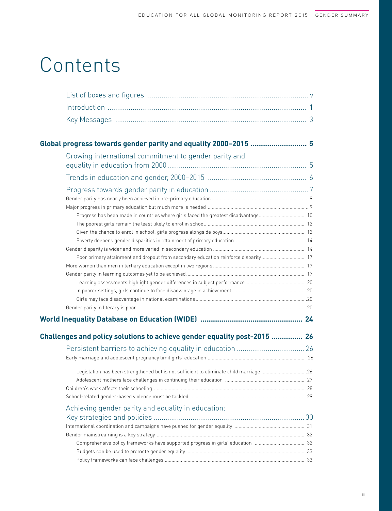## **Contents**

| Global progress towards gender parity and equality 2000-2015  5                        |  |
|----------------------------------------------------------------------------------------|--|
| Growing international commitment to gender parity and                                  |  |
|                                                                                        |  |
|                                                                                        |  |
|                                                                                        |  |
|                                                                                        |  |
| Progress has been made in countries where girls faced the greatest disadvantage 10     |  |
|                                                                                        |  |
|                                                                                        |  |
|                                                                                        |  |
|                                                                                        |  |
| Poor primary attainment and dropout from secondary education reinforce disparity 17    |  |
|                                                                                        |  |
|                                                                                        |  |
|                                                                                        |  |
|                                                                                        |  |
|                                                                                        |  |
|                                                                                        |  |
|                                                                                        |  |
| Challenges and policy solutions to achieve gender equality post-2015  26               |  |
|                                                                                        |  |
|                                                                                        |  |
| Legislation has been strengthened but is not sufficient to eliminate child marriage 26 |  |
|                                                                                        |  |
|                                                                                        |  |
|                                                                                        |  |
| Achieving gender parity and equality in education:                                     |  |
|                                                                                        |  |
|                                                                                        |  |
| Comprehensive policy frameworks have supported progress in girls' education  32        |  |
|                                                                                        |  |
|                                                                                        |  |
|                                                                                        |  |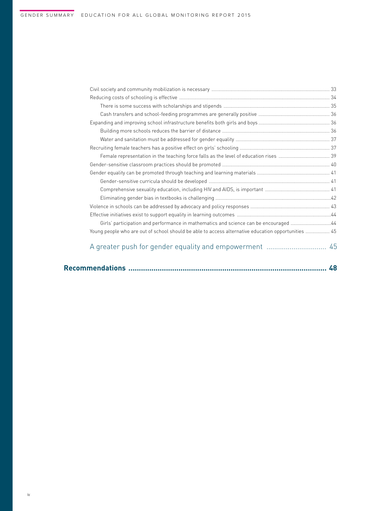| Girls' participation and performance in mathematics and science can be encouraged 44                |    |
|-----------------------------------------------------------------------------------------------------|----|
| Young people who are out of school should be able to access alternative education opportunities  45 |    |
|                                                                                                     |    |
|                                                                                                     | 48 |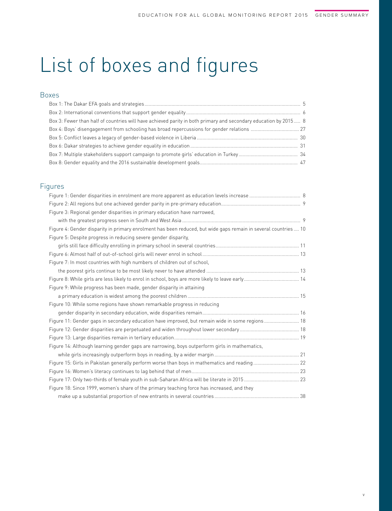## <span id="page-5-0"></span>List of boxes and figures

## Boxes

| Box 3: Fewer than half of countries will have achieved parity in both primary and secondary education by 2015 8 |  |
|-----------------------------------------------------------------------------------------------------------------|--|
|                                                                                                                 |  |
|                                                                                                                 |  |
|                                                                                                                 |  |
|                                                                                                                 |  |
|                                                                                                                 |  |

## Figures

| Figure 3: Regional gender disparities in primary education have narrowed,                                       |  |
|-----------------------------------------------------------------------------------------------------------------|--|
|                                                                                                                 |  |
| Figure 4: Gender disparity in primary enrolment has been reduced, but wide gaps remain in several countries  10 |  |
| Figure 5: Despite progress in reducing severe gender disparity.                                                 |  |
|                                                                                                                 |  |
|                                                                                                                 |  |
| Figure 7: In most countries with high numbers of children out of school,                                        |  |
|                                                                                                                 |  |
|                                                                                                                 |  |
| Figure 9: While progress has been made, gender disparity in attaining                                           |  |
|                                                                                                                 |  |
| Figure 10: While some regions have shown remarkable progress in reducing                                        |  |
|                                                                                                                 |  |
| Figure 11: Gender gaps in secondary education have improved, but remain wide in some regions 18                 |  |
|                                                                                                                 |  |
|                                                                                                                 |  |
| Figure 14: Although learning gender gaps are narrowing, boys outperform girls in mathematics,                   |  |
|                                                                                                                 |  |
|                                                                                                                 |  |
|                                                                                                                 |  |
|                                                                                                                 |  |
| Figure 18: Since 1999, women's share of the primary teaching force has increased, and they                      |  |
|                                                                                                                 |  |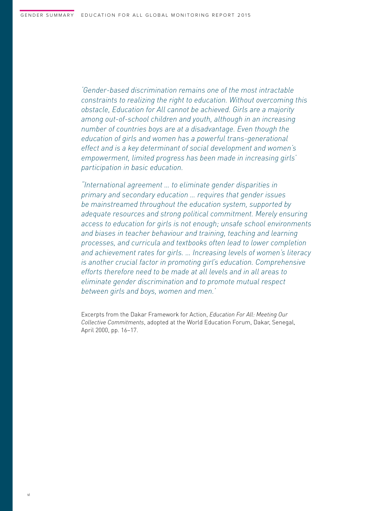*'Gender-based discrimination remains one of the most intractable constraints to realizing the right to education. Without overcoming this obstacle, Education for All cannot be achieved. Girls are a majority among out-of-school children and youth, although in an increasing number of countries boys are at a disadvantage. Even though the education of girls and women has a powerful trans-generational effect and is a key determinant of social development and women's empowerment, limited progress has been made in increasing girls' participation in basic education.*

*"International agreement … to eliminate gender disparities in primary and secondary education … requires that gender issues be mainstreamed throughout the education system, supported by adequate resources and strong political commitment. Merely ensuring access to education for girls is not enough; unsafe school environments and biases in teacher behaviour and training, teaching and learning processes, and curricula and textbooks often lead to lower completion and achievement rates for girls. … Increasing levels of women's literacy is another crucial factor in promoting girl's education. Comprehensive efforts therefore need to be made at all levels and in all areas to eliminate gender discrimination and to promote mutual respect between girls and boys, women and men.'*

Excerpts from the Dakar Framework for Action, *Education For All: Meeting Our Collective Commitments*, adopted at the World Education Forum, Dakar, Senegal, April 2000, pp. 16–17.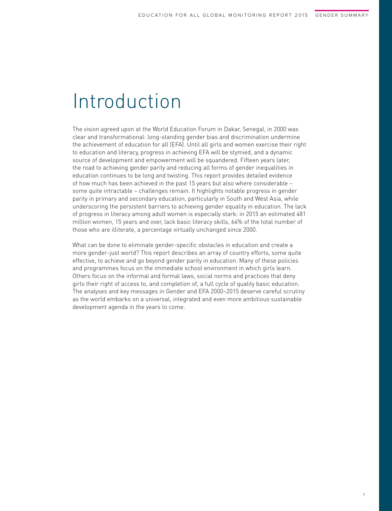## <span id="page-7-0"></span>Introduction

The vision agreed upon at the World Education Forum in Dakar, Senegal, in 2000 was clear and transformational: long-standing gender bias and discrimination undermine the achievement of education for all (EFA). Until all girls and women exercise their right to education and literacy, progress in achieving EFA will be stymied, and a dynamic source of development and empowerment will be squandered. Fifteen years later, the road to achieving gender parity and reducing all forms of gender inequalities in education continues to be long and twisting. This report provides detailed evidence of how much has been achieved in the past 15 years but also where considerable – some quite intractable – challenges remain. It highlights notable progress in gender parity in primary and secondary education, particularly in South and West Asia, while underscoring the persistent barriers to achieving gender equality in education. The lack of progress in literacy among adult women is especially stark: in 2015 an estimated 481 million women, 15 years and over, lack basic literacy skills, 64% of the total number of those who are illiterate, a percentage virtually unchanged since 2000.

What can be done to eliminate gender-specific obstacles in education and create a more gender-just world? This report describes an array of country efforts, some quite effective, to achieve and go beyond gender parity in education. Many of these policies and programmes focus on the immediate school environment in which girls learn. Others focus on the informal and formal laws, social norms and practices that deny girls their right of access to, and completion of, a full cycle of quality basic education. The analyses and key messages in Gender and EFA 2000–2015 deserve careful scrutiny as the world embarks on a universal, integrated and even more ambitious sustainable development agenda in the years to come.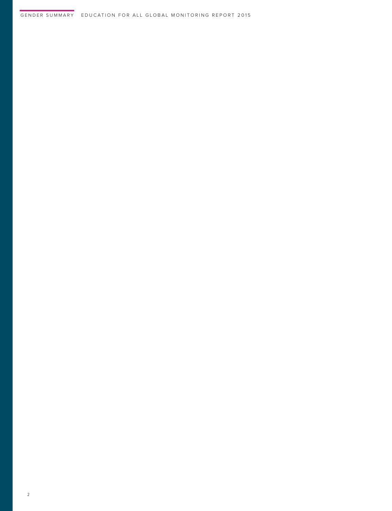## GENDER SUMMARY EDUCATION FOR ALL GLOBAL MONITORING REPORT 2015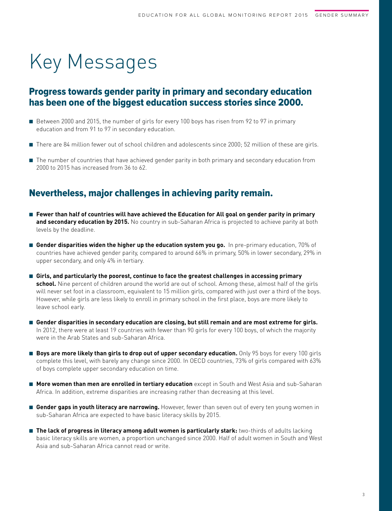## <span id="page-9-0"></span>Key Messages

## Progress towards gender parity in primary and secondary education has been one of the biggest education success stories since 2000.

- Between 2000 and 2015, the number of girls for every 100 boys has risen from 92 to 97 in primary education and from 91 to 97 in secondary education.
- There are 84 million fewer out of school children and adolescents since 2000; 52 million of these are girls.
- The number of countries that have achieved gender parity in both primary and secondary education from 2000 to 2015 has increased from 36 to 62.

## Nevertheless, major challenges in achieving parity remain.

- Fewer than half of countries will have achieved the Education for All goal on gender parity in primary **and secondary education by 2015.** No country in sub-Saharan Africa is projected to achieve parity at both levels by the deadline.
- Gender disparities widen the higher up the education system you go. In pre-primary education, 70% of countries have achieved gender parity, compared to around 66% in primary, 50% in lower secondary, 29% in upper secondary, and only 4% in tertiary.
- Girls, and particularly the poorest, continue to face the greatest challenges in accessing primary **school.** Nine percent of children around the world are out of school. Among these, almost half of the girls will never set foot in a classroom, equivalent to 15 million girls, compared with just over a third of the boys. However, while girls are less likely to enroll in primary school in the first place, boys are more likely to leave school early.
- Gender disparities in secondary education are closing, but still remain and are most extreme for girls. In 2012, there were at least 19 countries with fewer than 90 girls for every 100 boys, of which the majority were in the Arab States and sub-Saharan Africa.
- **Boys are more likely than girls to drop out of upper secondary education.** Only 95 boys for every 100 girls complete this level, with barely any change since 2000. In OECD countries, 73% of girls compared with 63% of boys complete upper secondary education on time.
- **More women than men are enrolled in tertiary education** except in South and West Asia and sub-Saharan Africa. In addition, extreme disparities are increasing rather than decreasing at this level.
- Gender gaps in youth literacy are narrowing. However, fewer than seven out of every ten young women in sub-Saharan Africa are expected to have basic literacy skills by 2015.
- **The lack of progress in literacy among adult women is particularly stark:** two-thirds of adults lacking basic literacy skills are women, a proportion unchanged since 2000. Half of adult women in South and West Asia and sub-Saharan Africa cannot read or write.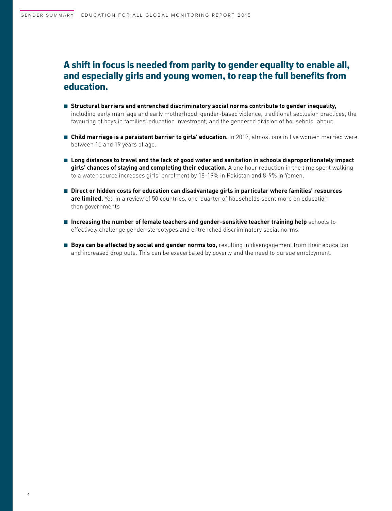## A shift in focus is needed from parity to gender equality to enable all, and especially girls and young women, to reap the full benefits from education.

- **Structural barriers and entrenched discriminatory social norms contribute to gender inequality,** including early marriage and early motherhood, gender-based violence, traditional seclusion practices, the favouring of boys in families' education investment, and the gendered division of household labour.
- **Child marriage is a persistent barrier to girls' education.** In 2012, almost one in five women married were between 15 and 19 years of age.
- Long distances to travel and the lack of good water and sanitation in schools disproportionately impact **girls' chances of staying and completing their education.** A one hour reduction in the time spent walking to a water source increases girls' enrolment by 18-19% in Pakistan and 8-9% in Yemen.
- Direct or hidden costs for education can disadvantage girls in particular where families' resources **are limited.** Yet, in a review of 50 countries, one-quarter of households spent more on education than governments
- **Increasing the number of female teachers and gender-sensitive teacher training help** schools to effectively challenge gender stereotypes and entrenched discriminatory social norms.
- **Boys can be affected by social and gender norms too,** resulting in disengagement from their education and increased drop outs. This can be exacerbated by poverty and the need to pursue employment.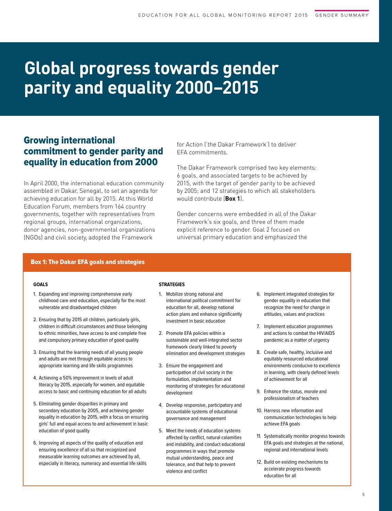## <span id="page-11-0"></span>**Global progress towards gender parity and equality 2000–2015**

## Growing international commitment to gender parity and equality in education from 2000

In April 2000, the international education community assembled in Dakar, Senegal, to set an agenda for achieving education for all by 2015. At this World Education Forum, members from 164 country governments, together with representatives from regional groups, international organizations, donor agencies, non-governmental organizations (NGOs) and civil society, adopted the Framework

for Action ('the Dakar Framework') to deliver EFA commitments.

The Dakar Framework comprised two key elements: 6 goals, and associated targets to be achieved by 2015, with the target of gender parity to be achieved by 2005; and 12 strategies to which all stakeholders would contribute (**Box 1**).

Gender concerns were embedded in all of the Dakar Framework's six goals, and three of them made explicit reference to gender. Goal 2 focused on universal primary education and emphasized the

## Box 1: The Dakar EFA goals and strategies

- 1. Expanding and improving comprehensive early childhood care and education, especially for the most vulnerable and disadvantaged children
- 2. Ensuring that by 2015 all children, particularly girls, children in difficult circumstances and those belonging to ethnic minorities, have access to and complete free and compulsory primary education of good quality
- 3. Ensuring that the learning needs of all young people and adults are met through equitable access to appropriate learning and life skills programmes
- 4. Achieving a 50% improvement in levels of adult literacy by 2015, especially for women, and equitable access to basic and continuing education for all adults
- 5. Eliminating gender disparities in primary and secondary education by 2005, and achieving gender equality in education by 2015, with a focus on ensuring girls' full and equal access to and achievement in basic education of good quality
- 6. Improving all aspects of the quality of education and ensuring excellence of all so that recognized and measurable learning outcomes are achieved by all, especially in literacy, numeracy and essential life skills

### **GOALS STRATEGIES**

- 1. Mobilize strong national and international political commitment for education for all, develop national action plans and enhance significantly investment in basic education
- 2. Promote EFA policies within a sustainable and well-integrated sector framework clearly linked to poverty elimination and development strategies
- 3. Ensure the engagement and participation of civil society in the formulation, implementation and monitoring of strategies for educational development
- 4. Develop responsive, participatory and accountable systems of educational governance and management
- 5. Meet the needs of education systems affected by conflict, natural calamities and instability, and conduct educational programmes in ways that promote mutual understanding, peace and tolerance, and that help to prevent violence and conflict
- 6. Implement integrated strategies for gender equality in education that recognize the need for change in attitudes, values and practices
- 7. Implement education programmes and actions to combat the HIV/AIDS pandemic as a matter of urgency
- 8. Create safe, healthy, inclusive and equitably resourced educational environments conducive to excellence in learning, with clearly defined levels of achievement for all
- 9. Enhance the status, morale and professionalism of teachers
- 10. Harness new information and communication technologies to help achieve EFA goals
- 11. Systematically monitor progress towards EFA goals and strategies at the national, regional and international levels
- 12. Build on existing mechanisms to accelerate progress towards education for all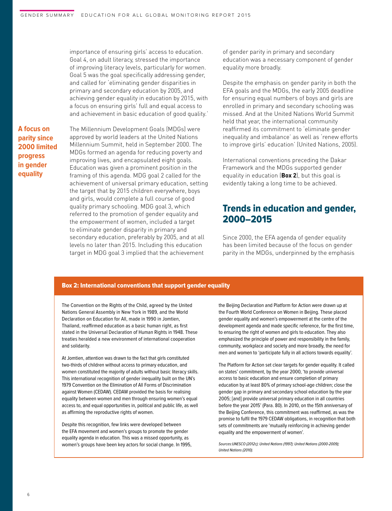importance of ensuring girls' access to education. Goal 4, on adult literacy, stressed the importance of improving literacy levels, particularly for women. Goal 5 was the goal specifically addressing gender, and called for 'eliminating gender disparities in primary and secondary education by 2005, and achieving gender equality in education by 2015, with a focus on ensuring girls' full and equal access to and achievement in basic education of good quality.'

## **A focus on parity since 2000 limited progress in gender equality**

The Millennium Development Goals (MDGs) were approved by world leaders at the United Nations Millennium Summit, held in September 2000. The MDGs formed an agenda for reducing poverty and improving lives, and encapsulated eight goals. Education was given a prominent position in the framing of this agenda. MDG goal 2 called for the achievement of universal primary education, setting the target that by 2015 children everywhere, boys and girls, would complete a full course of good quality primary schooling. MDG goal 3, which referred to the promotion of gender equality and the empowerment of women, included a target to eliminate gender disparity in primary and secondary education, preferably by 2005, and at all levels no later than 2015. Including this education target in MDG goal 3 implied that the achievement

of gender parity in primary and secondary education was a necessary component of gender equality more broadly.

Despite the emphasis on gender parity in both the EFA goals and the MDGs, the early 2005 deadline for ensuring equal numbers of boys and girls are enrolled in primary and secondary schooling was missed. And at the United Nations World Summit held that year, the international community reaffirmed its commitment to 'eliminate gender inequality and imbalance' as well as 'renew efforts to improve girls' education' (United Nations, 2005).

International conventions preceding the Dakar Framework and the MDGs supported gender equality in education (**Box 2**), but this goal is evidently taking a long time to be achieved.

## Trends in education and gender, 2000–2015

Since 2000, the EFA agenda of gender equality has been limited because of the focus on gender parity in the MDGs, underpinned by the emphasis

### Box 2: International conventions that support gender equality

The Convention on the Rights of the Child, agreed by the United Nations General Assembly in New York in 1989, and the World Declaration on Education for All, made in 1990 in Jomtien, Thailand, reaffirmed education as a basic human right, as first stated in the Universal Declaration of Human Rights in 1948. These treaties heralded a new environment of international cooperation and solidarity.

At Jomtien, attention was drawn to the fact that girls constituted two-thirds of children without access to primary education, and women constituted the majority of adults without basic literacy skills. This international recognition of gender inequality built on the UN's 1979 Convention on the Elimination of All Forms of Discrimination against Women (CEDAW). CEDAW provided the basis for realising equality between women and men through ensuring women's equal access to, and equal opportunities in, political and public life, as well as affirming the reproductive rights of women.

Despite this recognition, few links were developed between the EFA movement and women's groups to promote the gender equality agenda in education. This was a missed opportunity, as women's groups have been key actors for social change. In 1995, the Beijing Declaration and Platform for Action were drawn up at the Fourth World Conference on Women in Beijing. These placed gender equality and women's empowerment at the centre of the development agenda and made specific reference, for the first time, to ensuring the right of women and girls to education. They also emphasized the principle of power and responsibility in the family, community, workplace and society and more broadly, the need for men and women to 'participate fully in all actions towards equality'.

The Platform for Action set clear targets for gender equality. It called on states' commitment, by the year 2000, 'to provide universal access to basic education and ensure completion of primary education by at least 80% of primary school-age children; close the gender gap in primary and secondary school education by the year 2005; [and] provide universal primary education in all countries before the year 2015' (Para. 80). In 2010, on the 15th anniversary of the Beijing Conference, this commitment was reaffirmed, as was the promise to fulfil the 1979 CEDAW obligations, in recognition that both sets of commitments are 'mutually reinforcing in achieving gender equality and the empowerment of women'.

Sources:UNESCO (2012c); United Nations (1997); United Nations (2000-2009); United Nations (2010).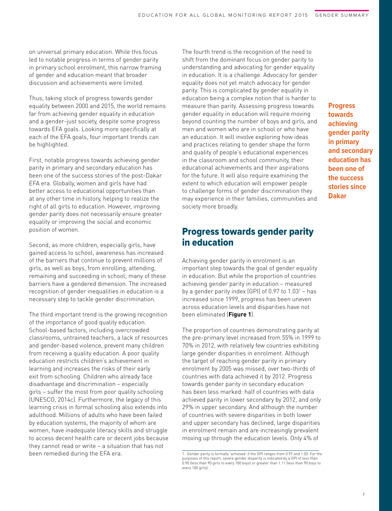on universal primary education. While this focus led to notable progress in terms of gender parity in primary school enrolment, this narrow framing of gender and education meant that broader discussion and achievements were limited.

Thus, taking stock of progress towards gender equality between 2000 and 2015, the world remains far from achieving gender equality in education and a gender-just society, despite some progress towards EFA goals. Looking more specifically at each of the EFA goals, four important trends can be highlighted.

First, notable progress towards achieving gender parity in primary and secondary education has been one of the success stories of the post-Dakar EFA era. Globally, women and girls have had better access to educational opportunities than at any other time in history, helping to realize the right of all girls to education. However, improving gender parity does not necessarily ensure greater equality or improving the social and economic position of women.

Second, as more children, especially girls, have gained access to school, awareness has increased of the barriers that continue to prevent millions of girls, as well as boys, from enrolling, attending, remaining and succeeding in school; many of these barriers have a gendered dimension. The increased recognition of gender inequalities in education is a necessary step to tackle gender discrimination.

The third important trend is the growing recognition of the importance of good quality education. School-based factors, including overcrowded classrooms, untrained teachers, a lack of resources and gender-based violence, prevent many children from receiving a quality education. A poor quality education restricts children's achievement in learning and increases the risks of their early exit from schooling. Children who already face disadvantage and discrimination – especially girls – suffer the most from poor quality schooling (UNESCO, 2014c). Furthermore, the legacy of this learning crisis in formal schooling also extends into adulthood. Millions of adults who have been failed by education systems, the majority of whom are women, have inadequate literacy skills and struggle to access decent health care or decent jobs because they cannot read or write – a situation that has not been remedied during the EFA era.

The fourth trend is the recognition of the need to shift from the dominant focus on gender parity to understanding and advocating for gender equality in education. It is a challenge. Advocacy for gender equality does not yet match advocacy for gender parity. This is complicated by gender equality in education being a complex notion that is harder to measure than parity. Assessing progress towards gender equality in education will require moving beyond counting the number of boys and girls, and men and women who are in school or who have an education. It will involve exploring how ideas and practices relating to gender shape the form and quality of people's educational experiences in the classroom and school community, their educational achievements and their aspirations for the future. It will also require examining the extent to which education will empower people to challenge forms of gender discrimination they may experience in their families, communities and society more broadly.

## Progress towards gender parity in education

Achieving gender parity in enrolment is an important step towards the goal of gender equality in education. But while the proportion of countries achieving gender parity in education – measured by a gender parity index (GPI) of  $0.97$  to  $1.03<sup>1</sup>$  – has increased since 1999, progress has been uneven across education levels and disparities have not been eliminated (**Figure 1**).

The proportion of countries demonstrating parity at the pre-primary level increased from 55% in 1999 to 70% in 2012, with relatively few countries exhibiting large gender disparities in enrolment. Although the target of reaching gender parity in primary enrolment by 2005 was missed, over two-thirds of countries with data achieved it by 2012. Progress towards gender parity in secondary education has been less marked: half of countries with data achieved parity in lower secondary by 2012, and only 29% in upper secondary. And although the number of countries with severe disparities in both lower and upper secondary has declined, large disparities in enrolment remain and are increasingly prevalent moving up through the education levels. Only 4% of

**Progress towards achieving gender parity in primary and secondary education has been one of the success stories since Dakar**

<sup>1.</sup> Gender parity is formally 'achieved' if the GPI ranges from 0.97 and 1.03. For the purposes of this report, severe gender disparity is indicated by a GPI of less than 0.90 (less than 90 girls to every 100 boys) or greater than 1.11 (less than 90 boys to every 100 girls).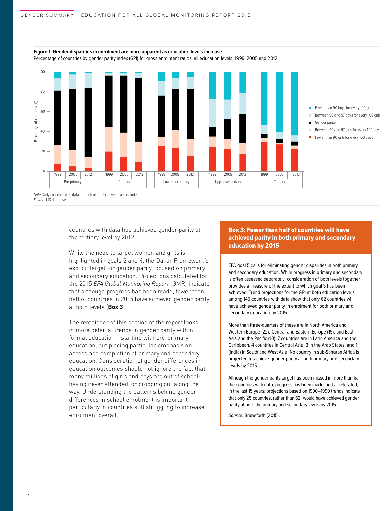

countries with data had achieved gender parity at the tertiary level by 2012.

While the need to target women and girls is highlighted in goals 2 and 4, the Dakar Framework's explicit target for gender parity focused on primary and secondary education. Projections calculated for the 2015 *EFA Global Monitoring Report* (GMR) indicate that although progress has been made, fewer than half of countries in 2015 have achieved gender parity at both levels (**Box 3**).

The remainder of this section of the report looks in more detail at trends in gender parity within formal education – starting with pre-primary education, but placing particular emphasis on access and completion of primary and secondary education. Consideration of gender differences in education outcomes should not ignore the fact that many millions of girls and boys are out of school: having never attended, or dropping out along the way. Understanding the patterns behind gender differences in school enrolment is important, particularly in countries still struggling to increase enrolment overall.

## Box 3: Fewer than half of countries will have achieved parity in both primary and secondary education by 2015

EFA goal 5 calls for eliminating gender disparities in both primary and secondary education. While progress in primary and secondary is often assessed separately, consideration of both levels together provides a measure of the extent to which goal 5 has been achieved. Trend projections for the GPI at both education levels among 145 countries with data show that only 62 countries will have achieved gender parity in enrolment for both primary and secondary education by 2015.

More than three-quarters of these are in North America and Western Europe (22), Central and Eastern Europe (15), and East Asia and the Pacific (10); 7 countries are in Latin America and the Caribbean, 4 countries in Central Asia, 3 in the Arab States, and 1 (India) in South and West Asia. No country in sub-Saharan Africa is projected to achieve gender parity at both primary and secondary levels by 2015.

Although the gender parity target has been missed in more than half the countries with data, progress has been made, and accelerated, in the last 15 years: projections based on 1990–1999 trends indicate that only 25 countries, rather than 62, would have achieved gender parity at both the primary and secondary levels by 2015.

Source: Bruneforth (2015).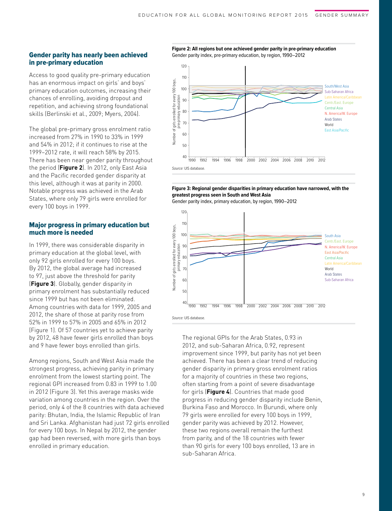## Gender parity has nearly been achieved in pre-primary education

Access to good quality pre-primary education has an enormous impact on girls' and boys' primary education outcomes, increasing their chances of enrolling, avoiding dropout and repetition, and achieving strong foundational skills (Berlinski et al., 2009; Myers, 2004).

The global pre-primary gross enrolment ratio increased from 27% in 1990 to 33% in 1999 and 54% in 2012; if it continues to rise at the 1999–2012 rate, it will reach 58% by 2015. There has been near gender parity throughout the period (**Figure 2**). In 2012, only East Asia and the Pacific recorded gender disparity at this level, although it was at parity in 2000. Notable progress was achieved in the Arab States, where only 79 girls were enrolled for every 100 boys in 1999.

### Major progress in primary education but much more is needed

In 1999, there was considerable disparity in primary education at the global level, with only 92 girls enrolled for every 100 boys. By 2012, the global average had increased to 97, just above the threshold for parity (**Figure 3**). Globally, gender disparity in primary enrolment has substantially reduced since 1999 but has not been eliminated. Among countries with data for 1999, 2005 and 2012, the share of those at parity rose from 52% in 1999 to 57% in 2005 and 65% in 2012 (Figure 1). Of 57 countries yet to achieve parity by 2012, 48 have fewer girls enrolled than boys and 9 have fewer boys enrolled than girls.

Among regions, South and West Asia made the strongest progress, achieving parity in primary enrolment from the lowest starting point. The regional GPI increased from 0.83 in 1999 to 1.00 in 2012 (Figure 3). Yet this average masks wide variation among countries in the region. Over the period, only 4 of the 8 countries with data achieved parity: Bhutan, India, the Islamic Republic of Iran and Sri Lanka. Afghanistan had just 72 girls enrolled for every 100 boys. In Nepal by 2012, the gender gap had been reversed, with more girls than boys enrolled in primary education.

**Figure 2: All regions but one achieved gender parity in pre-primary education** Gender parity index, pre-primary education, by region, 1990–2012



**Figure 3: Regional gender disparities in primary education have narrowed, with the greatest progress seen in South and West Asia**

Gender parity index, primary education, by region, 1990–2012



Source: UIS database.

The regional GPIs for the Arab States, 0.93 in 2012, and sub-Saharan Africa, 0.92, represent improvement since 1999, but parity has not yet been achieved. There has been a clear trend of reducing gender disparity in primary gross enrolment ratios for a majority of countries in these two regions, often starting from a point of severe disadvantage for girls (**Figure 4**). Countries that made good progress in reducing gender disparity include Benin, Burkina Faso and Morocco. In Burundi, where only 79 girls were enrolled for every 100 boys in 1999, gender parity was achieved by 2012. However, these two regions overall remain the furthest from parity, and of the 18 countries with fewer than 90 girls for every 100 boys enrolled, 13 are in sub-Saharan Africa.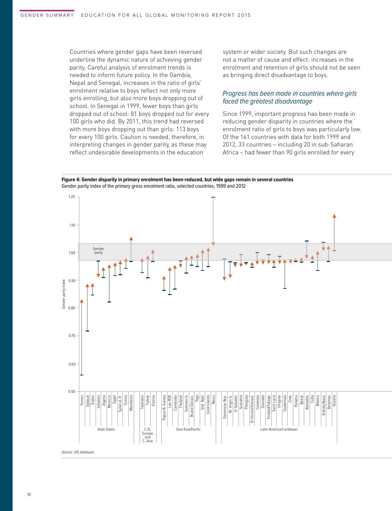Countries where gender gaps have been reversed underline the dynamic nature of achieving gender parity. Careful analysis of enrolment trends is needed to inform future policy. In the Gambia, Nepal and Senegal, increases in the ratio of girls' enrolment relative to boys reflect not only more girls enrolling, but also more boys dropping out of school. In Senegal in 1999, fewer boys than girls dropped out of school: 81 boys dropped out for every 100 girls who did. By 2011, this trend had reversed with more boys dropping out than girls: 113 boys for every 100 girls. Caution is needed, therefore, in interpreting changes in gender parity, as these may reflect undesirable developments in the education

system or wider society. But such changes are not a matter of cause and effect: increases in the enrolment and retention of girls should not be seen as bringing direct disadvantage to boys.

### Progress has been made in countries where girls faced the greatest disadvantage

Since 1999, important progress has been made in reducing gender disparity in countries where the enrolment ratio of girls to boys was particularly low. Of the 161 countries with data for both 1999 and 2012, 33 countries – including 20 in sub-Saharan Africa – had fewer than 90 girls enrolled for every

**Figure 4: Gender disparity in primary enrolment has been reduced, but wide gaps remain in several countries** Gender parity index of the primary gross enrolment ratio, selected countries, 1999 and 2012

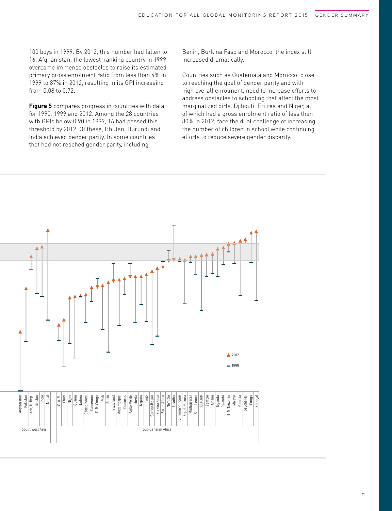100 boys in 1999. By 2012, this number had fallen to 16. Afghanistan, the lowest-ranking country in 1999, overcame immense obstacles to raise its estimated primary gross enrolment ratio from less than 4% in 1999 to 87% in 2012, resulting in its GPI increasing from 0.08 to 0.72.

**Figure 5** compares progress in countries with data for 1990, 1999 and 2012. Among the 28 countries with GPIs below 0.90 in 1999, 16 had passed this threshold by 2012. Of these, Bhutan, Burundi and India achieved gender parity. In some countries that had not reached gender parity, including

Benin, Burkina Faso and Morocco, the index still increased dramatically.

Countries such as Guatemala and Morocco, close to reaching the goal of gender parity and with high overall enrolment, need to increase efforts to address obstacles to schooling that affect the most marginalized girls. Djibouti, Eritrea and Niger, all of which had a gross enrolment ratio of less than 80% in 2012, face the dual challenge of increasing the number of children in school while continuing efforts to reduce severe gender disparity.

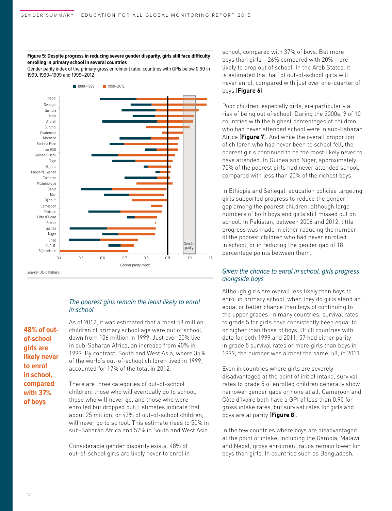#### **Figure 5: Despite progress in reducing severe gender disparity, girls still face difficulty enrolling in primary school in several countries**

Gender parity index of the primary gross enrolment ratio, countries with GPIs below 0.90 in 1999, 1990–1999 and 1999–2012



## The poorest girls remain the least likely to enrol in school

As of 2012, it was estimated that almost 58 million children of primary school age were out of school, down from 106 million in 1999. Just over 50% live in sub-Saharan Africa, an increase from 40% in 1999. By contrast, South and West Asia, where 35% of the world's out-of-school children lived in 1999, accounted for 17% of the total in 2012.

There are three categories of out-of-school children: those who will eventually go to school, those who will never go, and those who were enrolled but dropped out. Estimates indicate that about 25 million, or 43% of out-of-school children, will never go to school. This estimate rises to 50% in sub-Saharan Africa and 57% in South and West Asia.

Considerable gender disparity exists: 48% of out-of-school girls are likely never to enrol in school, compared with 37% of boys. But more boys than girls – 26% compared with 20% – are likely to drop out of school. In the Arab States, it is estimated that half of out-of-school girls will never enrol, compared with just over one-quarter of boys (**Figure 6**).

Poor children, especially girls, are particularly at risk of being out of school. During the 2000s, 9 of 10 countries with the highest percentages of children who had never attended school were in sub-Saharan Africa (**Figure 7**). And while the overall proportion of children who had never been to school fell, the poorest girls continued to be the most likely never to have attended. In Guinea and Niger, approximately 70% of the poorest girls had never attended school, compared with less than 20% of the richest boys.

In Ethiopia and Senegal, education policies targeting girls supported progress to reduce the gender gap among the poorest children, although large numbers of both boys and girls still missed out on school. In Pakistan, between 2006 and 2012, little progress was made in either reducing the number of the poorest children who had never enrolled in school, or in reducing the gender gap of 18 percentage points between them.

## Given the chance to enrol in school, girls progress alongside boys

Although girls are overall less likely than boys to enrol in primary school, when they do girls stand an equal or better chance than boys of continuing to the upper grades. In many countries, survival rates to grade 5 for girls have consistently been equal to or higher than those of boys. Of 68 countries with data for both 1999 and 2011, 57 had either parity in grade 5 survival rates or more girls than boys in 1999; the number was almost the same, 58, in 2011.

Even in countries where girls are severely disadvantaged at the point of initial intake, survival rates to grade 5 of enrolled children generally show narrower gender gaps or none at all. Cameroon and Côte d'Ivoire both have a GPI of less than 0.90 for gross intake rates, but survival rates for girls and boys are at parity (**Figure 8**).

In the few countries where boys are disadvantaged at the point of intake, including the Gambia, Malawi and Nepal, gross enrolment ratios remain lower for boys than girls. In countries such as Bangladesh,

**of-school girls are likely never to enrol in school, compared with 37% of boys**

**48% of out-**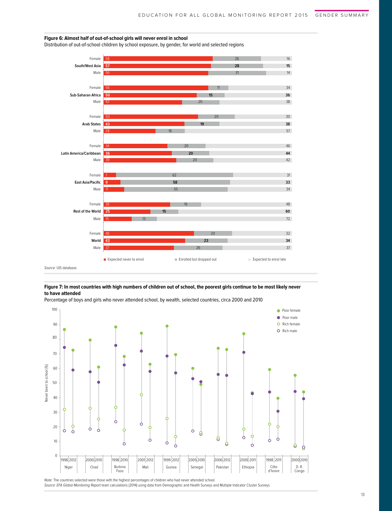#### **Figure 6: Almost half of out-of-school girls will never enrol in school**

Distribution of out-of-school children by school exposure, by gender, for world and selected regions



#### **Figure 7: In most countries with high numbers of children out of school, the poorest girls continue to be most likely never to have attended**

Percentage of boys and girls who never attended school, by wealth, selected countries, circa 2000 and 2010



Note: The countries selected were those with the highest percentages of children who had never attended school.

Source: EFA Global Monitoring Report team calculations (2014) using data from Demographic and Health Surveys and Multiple Indicator Cluster Surveys.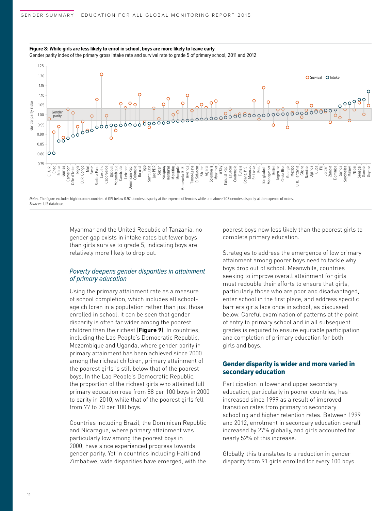

**Figure 8: While girls are less likely to enrol in school, boys are more likely to leave early** Gender parity index of the primary gross intake rate and survival rate to grade 5 of primary school, 2011 and 2012

Notes: The figure excludes high income countries. A GPI below 0.97 denotes disparity at the expense of females while one above 1.03 denotes disparity at the expense of males. Sources: UIS database

> Myanmar and the United Republic of Tanzania, no gender gap exists in intake rates but fewer boys than girls survive to grade 5, indicating boys are relatively more likely to drop out.

## Poverty deepens gender disparities in attainment of primary education

Using the primary attainment rate as a measure of school completion, which includes all schoolage children in a population rather than just those enrolled in school, it can be seen that gender disparity is often far wider among the poorest children than the richest (**Figure 9**). In countries, including the Lao People's Democratic Republic, Mozambique and Uganda, where gender parity in primary attainment has been achieved since 2000 among the richest children, primary attainment of the poorest girls is still below that of the poorest boys. In the Lao People's Democratic Republic, the proportion of the richest girls who attained full primary education rose from 88 per 100 boys in 2000 to parity in 2010, while that of the poorest girls fell from 77 to 70 per 100 boys.

Countries including Brazil, the Dominican Republic and Nicaragua, where primary attainment was particularly low among the poorest boys in 2000, have since experienced progress towards gender parity. Yet in countries including Haiti and Zimbabwe, wide disparities have emerged, with the

poorest boys now less likely than the poorest girls to complete primary education.

Strategies to address the emergence of low primary attainment among poorer boys need to tackle why boys drop out of school. Meanwhile, countries seeking to improve overall attainment for girls must redouble their efforts to ensure that girls, particularly those who are poor and disadvantaged, enter school in the first place, and address specific barriers girls face once in school, as discussed below. Careful examination of patterns at the point of entry to primary school and in all subsequent grades is required to ensure equitable participation and completion of primary education for both girls and boys.

### Gender disparity is wider and more varied in secondary education

Participation in lower and upper secondary education, particularly in poorer countries, has increased since 1999 as a result of improved transition rates from primary to secondary schooling and higher retention rates. Between 1999 and 2012, enrolment in secondary education overall increased by 27% globally, and girls accounted for nearly 52% of this increase.

Globally, this translates to a reduction in gender disparity from 91 girls enrolled for every 100 boys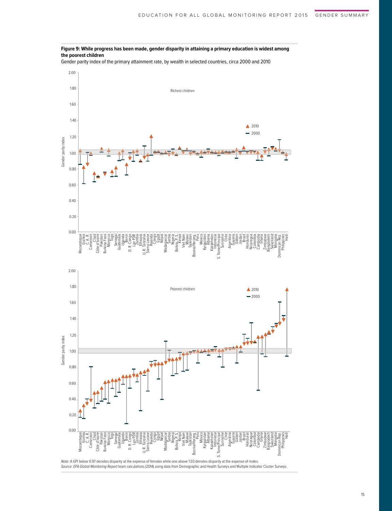



Gender parity index of the primary attainment rate, by wealth in selected countries, circa 2000 and 2010

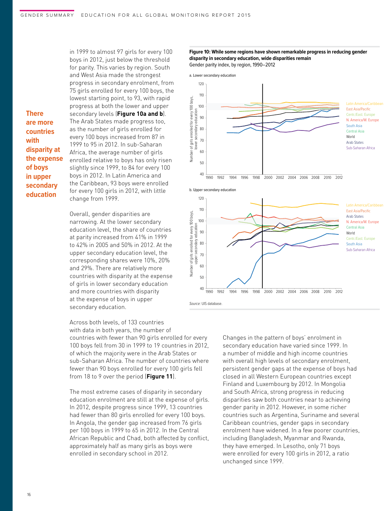in 1999 to almost 97 girls for every 100 boys in 2012, just below the threshold for parity. This varies by region. South and West Asia made the strongest progress in secondary enrolment, from 75 girls enrolled for every 100 boys, the lowest starting point, to 93, with rapid progress at both the lower and upper secondary levels (**Figure 10a and b**). The Arab States made progress too, as the number of girls enrolled for every 100 boys increased from 87 in 1999 to 95 in 2012. In sub-Saharan Africa, the average number of girls enrolled relative to boys has only risen slightly since 1999, to 84 for every 100 boys in 2012. In Latin America and the Caribbean, 93 boys were enrolled for every 100 girls in 2012, with little change from 1999.

Overall, gender disparities are narrowing. At the lower secondary education level, the share of countries at parity increased from 41% in 1999 to 42% in 2005 and 50% in 2012. At the upper secondary education level, the corresponding shares were 10%, 20% and 29%. There are relatively more countries with disparity at the expense of girls in lower secondary education and more countries with disparity at the expense of boys in upper secondary education.

Across both levels, of 133 countries with data in both years, the number of countries with fewer than 90 girls enrolled for every 100 boys fell from 30 in 1999 to 19 countries in 2012, of which the majority were in the Arab States or sub-Saharan Africa. The number of countries where fewer than 90 boys enrolled for every 100 girls fell from 18 to 9 over the period (**Figure 11**).

The most extreme cases of disparity in secondary education enrolment are still at the expense of girls. In 2012, despite progress since 1999, 13 countries had fewer than 80 girls enrolled for every 100 boys. In Angola, the gender gap increased from 76 girls per 100 boys in 1999 to 65 in 2012. In the Central African Republic and Chad, both affected by conflict, approximately half as many girls as boys were enrolled in secondary school in 2012.

**Figure 10: While some regions have shown remarkable progress in reducing gender disparity in secondary education, wide disparities remain** Gender parity index, by region, 1990–2012

110 every 100 boys, Number of girls enrolled for every 100 boys, 100 East Asia/Pacific lower secondary education 70 Centr./East. Europe 90 N. America/W. Europe of girls enrolled for South Asia 80 Central Asia World Arab States Sub-Saharan Africa  $60$ Number 50 40 1990 1992 2000 1994 1996 1998 2002 2006 2008 2012 2010 2004 b. Upper secondary education 120 110 East Asia/Pacific Number of girls enrolled for every 100 boys, Number of girls enrolled for every 100 boys, Arab States 100 N. America/W. Europe uper secondary education 90<br>Apper secondary 70 Central Asia 90 World Centr./East. Europe South Asia 80 Sub-Saharan Africa 60 50 40 1990 1992 2000 1994 1996 1998 2002 2006 2008 2012 2010 2004

Source: UIS database.

120

a. Lower secondary education

Changes in the pattern of boys' enrolment in secondary education have varied since 1999. In a number of middle and high income countries with overall high levels of secondary enrolment, persistent gender gaps at the expense of boys had closed in all Western European countries except Finland and Luxembourg by 2012. In Mongolia and South Africa, strong progress in reducing disparities saw both countries near to achieving gender parity in 2012. However, in some richer countries such as Argentina, Suriname and several Caribbean countries, gender gaps in secondary enrolment have widened. In a few poorer countries, including Bangladesh, Myanmar and Rwanda, they have emerged. In Lesotho, only 71 boys were enrolled for every 100 girls in 2012, a ratio unchanged since 1999.

16

**There are more countries with** 

**disparity at the expense of boys in upper secondary education**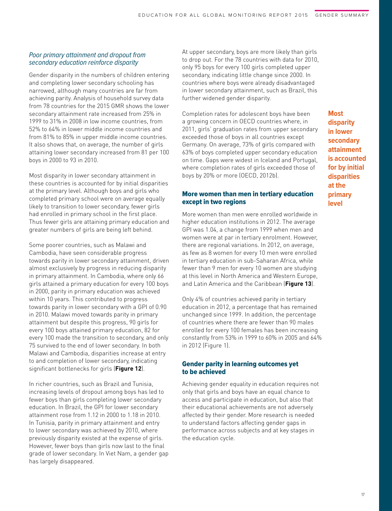## Poor primary attainment and dropout from secondary education reinforce disparity

Gender disparity in the numbers of children entering and completing lower secondary schooling has narrowed, although many countries are far from achieving parity. Analysis of household survey data from 78 countries for the 2015 GMR shows the lower secondary attainment rate increased from 25% in 1999 to 31% in 2008 in low income countries, from 52% to 64% in lower middle income countries and from 81% to 85% in upper middle income countries. It also shows that, on average, the number of girls attaining lower secondary increased from 81 per 100 boys in 2000 to 93 in 2010.

Most disparity in lower secondary attainment in these countries is accounted for by initial disparities at the primary level. Although boys and girls who completed primary school were on average equally likely to transition to lower secondary, fewer girls had enrolled in primary school in the first place. Thus fewer girls are attaining primary education and greater numbers of girls are being left behind.

Some poorer countries, such as Malawi and Cambodia, have seen considerable progress towards parity in lower secondary attainment, driven almost exclusively by progress in reducing disparity in primary attainment. In Cambodia, where only 66 girls attained a primary education for every 100 boys in 2000, parity in primary education was achieved within 10 years. This contributed to progress towards parity in lower secondary with a GPI of 0.90 in 2010. Malawi moved towards parity in primary attainment but despite this progress, 90 girls for every 100 boys attained primary education, 82 for every 100 made the transition to secondary, and only 75 survived to the end of lower secondary. In both Malawi and Cambodia, disparities increase at entry to and completion of lower secondary, indicating significant bottlenecks for girls (**Figure 12**).

In richer countries, such as Brazil and Tunisia, increasing levels of dropout among boys has led to fewer boys than girls completing lower secondary education. In Brazil, the GPI for lower secondary attainment rose from 1.12 in 2000 to 1.18 in 2010. In Tunisia, parity in primary attainment and entry to lower secondary was achieved by 2010, where previously disparity existed at the expense of girls. However, fewer boys than girls now last to the final grade of lower secondary. In Viet Nam, a gender gap has largely disappeared.

At upper secondary, boys are more likely than girls to drop out. For the 78 countries with data for 2010, only 95 boys for every 100 girls completed upper secondary, indicating little change since 2000. In countries where boys were already disadvantaged in lower secondary attainment, such as Brazil, this further widened gender disparity.

Completion rates for adolescent boys have been a growing concern in OECD countries where, in 2011, girls' graduation rates from upper secondary exceeded those of boys in all countries except Germany. On average, 73% of girls compared with 63% of boys completed upper secondary education on time. Gaps were widest in Iceland and Portugal, where completion rates of girls exceeded those of boys by 20% or more (OECD, 2012b).

## More women than men in tertiary education except in two regions

More women than men were enrolled worldwide in higher education institutions in 2012. The average GPI was 1.04, a change from 1999 when men and women were at par in tertiary enrolment. However, there are regional variations. In 2012, on average, as few as 8 women for every 10 men were enrolled in tertiary education in sub-Saharan Africa, while fewer than 9 men for every 10 women are studying at this level in North America and Western Europe, and Latin America and the Caribbean (**Figure 13**).

Only 4% of countries achieved parity in tertiary education in 2012, a percentage that has remained unchanged since 1999. In addition, the percentage of countries where there are fewer than 90 males enrolled for every 100 females has been increasing constantly from 53% in 1999 to 60% in 2005 and 64% in 2012 (Figure 1).

## Gender parity in learning outcomes yet to be achieved

Achieving gender equality in education requires not only that girls and boys have an equal chance to access and participate in education, but also that their educational achievements are not adversely affected by their gender. More research is needed to understand factors affecting gender gaps in performance across subjects and at key stages in the education cycle.

**Most disparity in lower secondary attainment is accounted for by initial disparities at the primary level**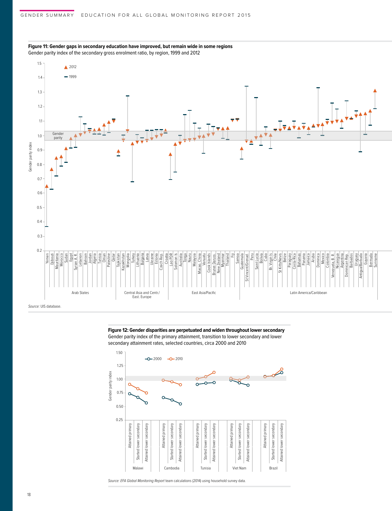

#### **Figure 11: Gender gaps in secondary education have improved, but remain wide in some regions** Gender parity index of the secondary gross enrolment ratio, by region, 1999 and 2012

**Figure 12: Gender disparities are perpetuated and widen throughout lower secondary** Gender parity index of the primary attainment, transition to lower secondary and lower secondary attainment rates, selected countries, circa 2000 and 2010



Source: EFA Global Monitoring Report team calculations (2014) using household survey data.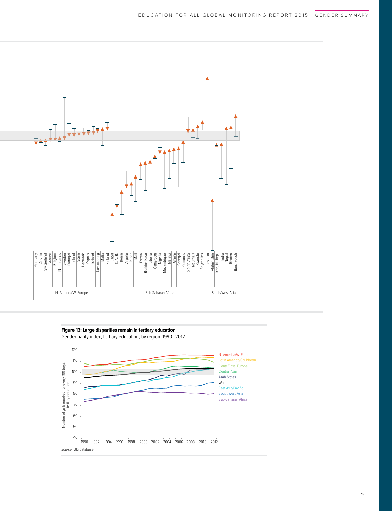

**Figure 13: Large disparities remain in tertiary education** Gender parity index, tertiary education, by region, 1990–2012

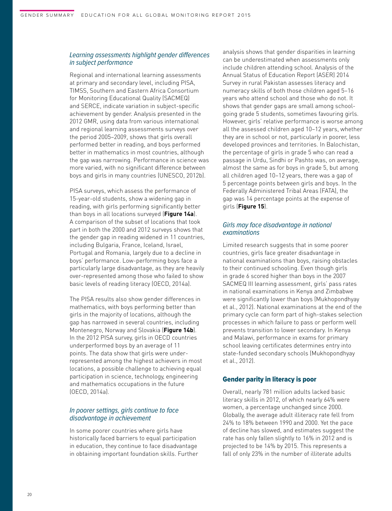## Learning assessments highlight gender differences in subject performance

Regional and international learning assessments at primary and secondary level, including PISA, TIMSS, Southern and Eastern Africa Consortium for Monitoring Educational Quality (SACMEQ) and SERCE, indicate variation in subject-specific achievement by gender. Analysis presented in the 2012 GMR, using data from various international and regional learning assessments surveys over the period 2005–2009, shows that girls overall performed better in reading, and boys performed better in mathematics in most countries, although the gap was narrowing. Performance in science was more varied, with no significant difference between boys and girls in many countries (UNESCO, 2012b).

PISA surveys, which assess the performance of 15-year-old students, show a widening gap in reading, with girls performing significantly better than boys in all locations surveyed (**Figure 14a**). A comparison of the subset of locations that took part in both the 2000 and 2012 surveys shows that the gender gap in reading widened in 11 countries, including Bulgaria, France, Iceland, Israel, Portugal and Romania, largely due to a decline in boys' performance. Low-performing boys face a particularly large disadvantage, as they are heavily over-represented among those who failed to show basic levels of reading literacy (OECD, 2014a).

The PISA results also show gender differences in mathematics, with boys performing better than girls in the majority of locations, although the gap has narrowed in several countries, including Montenegro, Norway and Slovakia (**Figure 14b**). In the 2012 PISA survey, girls in OECD countries underperformed boys by an average of 11 points. The data show that girls were underrepresented among the highest achievers in most locations, a possible challenge to achieving equal participation in science, technology, engineering and mathematics occupations in the future (OECD, 2014a).

## In poorer settings, girls continue to face disadvantage in achievement

In some poorer countries where girls have historically faced barriers to equal participation in education, they continue to face disadvantage in obtaining important foundation skills. Further analysis shows that gender disparities in learning can be underestimated when assessments only include children attending school. Analysis of the Annual Status of Education Report (ASER) 2014 Survey in rural Pakistan assesses literacy and numeracy skills of both those children aged 5–16 years who attend school and those who do not. It shows that gender gaps are small among schoolgoing grade 5 students, sometimes favouring girls. However, girls' relative performance is worse among all the assessed children aged 10–12 years, whether they are in school or not, particularly in poorer, less developed provinces and territories. In Balochistan, the percentage of girls in grade 5 who can read a passage in Urdu, Sindhi or Pashto was, on average, almost the same as for boys in grade 5, but among all children aged 10–12 years, there was a gap of 5 percentage points between girls and boys. In the Federally Administered Tribal Areas (FATA), the gap was 14 percentage points at the expense of girls (**Figure 15**).

## Girls may face disadvantage in national examinations

Limited research suggests that in some poorer countries, girls face greater disadvantage in national examinations than boys, raising obstacles to their continued schooling. Even though girls in grade 6 scored higher than boys in the 2007 SACMEQ III learning assessment, girls' pass rates in national examinations in Kenya and Zimbabwe were significantly lower than boys (Mukhopondhyay et al., 2012). National examinations at the end of the primary cycle can form part of high-stakes selection processes in which failure to pass or perform well prevents transition to lower secondary. In Kenya and Malawi, performance in exams for primary school leaving certificates determines entry into state-funded secondary schools (Mukhopondhyay et al., 2012).

## Gender parity in literacy is poor

Overall, nearly 781 million adults lacked basic literacy skills in 2012, of which nearly 64% were women, a percentage unchanged since 2000. Globally, the average adult illiteracy rate fell from 24% to 18% between 1990 and 2000. Yet the pace of decline has slowed, and estimates suggest the rate has only fallen slightly to 16% in 2012 and is projected to be 14% by 2015. This represents a fall of only 23% in the number of illiterate adults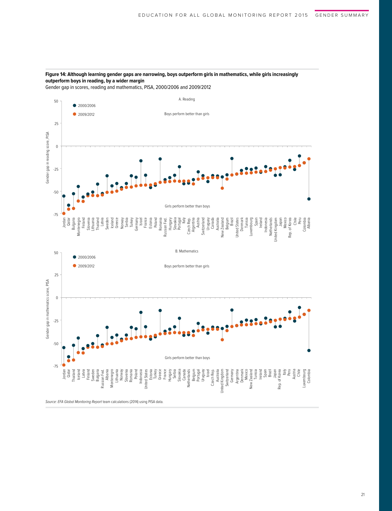

#### **Figure 14: Although learning gender gaps are narrowing, boys outperform girls in mathematics, while girls increasingly outperform boys in reading, by a wider margin**

Gender gap in scores, reading and mathematics, PISA, 2000/2006 and 2009/2012

Source: EFA Global Monitoring Report team calculations (2014) using PISA data.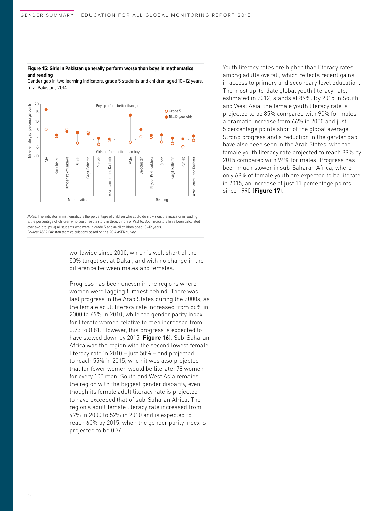#### **Figure 15: Girls in Pakistan generally perform worse than boys in mathematics and reading**

Gender gap in two learning indicators, grade 5 students and children aged 10–12 years, rural Pakistan, 2014



Notes: The indicator in mathematics is the percentage of children who could do a division; the indicator in reading is the percentage of children who could read a story in Urdu, Sindhi or Pashto. Both indicators have been calculated over two groups: (i) all students who were in grade 5 and (ii) all children aged 10–12 years. Source: ASER Pakistan team calculations based on the 2014 ASER survey.

> worldwide since 2000, which is well short of the 50% target set at Dakar, and with no change in the difference between males and females.

Progress has been uneven in the regions where women were lagging furthest behind. There was fast progress in the Arab States during the 2000s, as the female adult literacy rate increased from 56% in 2000 to 69% in 2010, while the gender parity index for literate women relative to men increased from 0.73 to 0.81. However, this progress is expected to have slowed down by 2015 (**Figure 16**). Sub-Saharan Africa was the region with the second lowest female literacy rate in 2010 – just 50% – and projected to reach 55% in 2015, when it was also projected that far fewer women would be literate: 78 women for every 100 men. South and West Asia remains the region with the biggest gender disparity, even though its female adult literacy rate is projected to have exceeded that of sub-Saharan Africa. The region's adult female literacy rate increased from 47% in 2000 to 52% in 2010 and is expected to reach 60% by 2015, when the gender parity index is projected to be 0.76.

Youth literacy rates are higher than literacy rates among adults overall, which reflects recent gains in access to primary and secondary level education. The most up-to-date global youth literacy rate, estimated in 2012, stands at 89%. By 2015 in South and West Asia, the female youth literacy rate is projected to be 85% compared with 90% for males – a dramatic increase from 66% in 2000 and just 5 percentage points short of the global average. Strong progress and a reduction in the gender gap have also been seen in the Arab States, with the female youth literacy rate projected to reach 89% by 2015 compared with 94% for males. Progress has been much slower in sub-Saharan Africa, where only 69% of female youth are expected to be literate in 2015, an increase of just 11 percentage points since 1990 (**Figure 17**).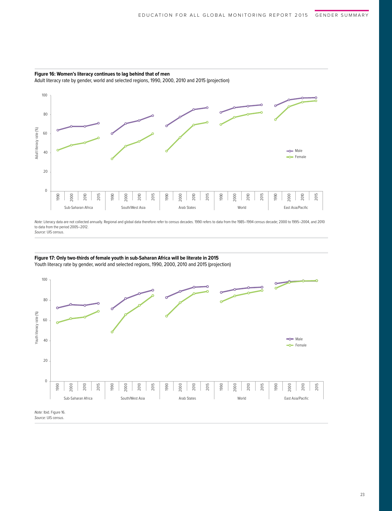#### **Figure 16: Women's literacy continues to lag behind that of men** Adult literacy rate by gender, world and selected regions, 1990, 2000, 2010 and 2015 (projection)



Note: Literacy data are not collected annually. Regional and global data therefore refer to census decades. 1990 refers to data from the 1985–1994 census decade; 2000 to 1995–2004, and 2010 to data from the period 2005–2012. Source: UIS census.

## **Figure 17: Only two-thirds of female youth in sub-Saharan Africa will be literate in 2015**

Youth literacy rate by gender, world and selected regions, 1990, 2000, 2010 and 2015 (projection)



Source: UIS census.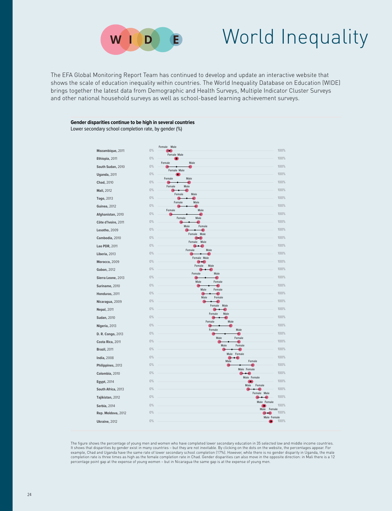

## World Inequality

<span id="page-30-0"></span>The EFA Global Monitoring Report Team has continued to develop and update an interactive website that shows the scale of education inequality within countries. The World Inequality Database on Education (WIDE) brings together the latest data from Demographic and Health Surveys, Multiple Indicator Cluster Surveys and other national household surveys as well as school-based learning achievement surveys.

## **Gender disparities continue to be high in several countries**

Lower secondary school completion rate, by gender (%)



The figure shows the percentage of young men and women who have completed lower secondary education in 35 selected low and middle income countries. It shows that disparities by gender exist in many countries – but they are not inevitable. By clicking on the dots on the website, the percentages appear. For example, Chad and Uganda have the same rate of lower secondary school completion (17%). However, while there is no gender disparity in Uganda, the male completion rate is three times as high as the female completion rate in Chad. Gender disparities can also move in the opposite direction: in Mali there is a 12 percentage point gap at the expense of young women – but in Nicaragua the same gap is at the expense of young men.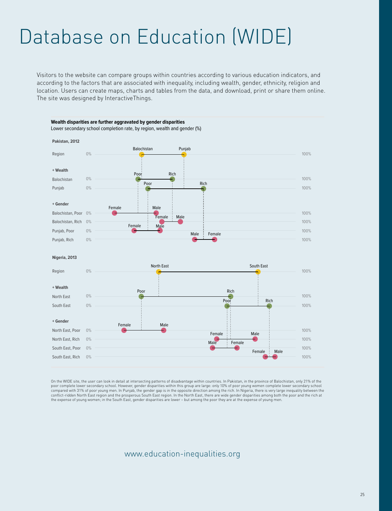## Database on Education (WIDE)

Visitors to the website can compare groups within countries according to various education indicators, and according to the factors that are associated with inequality, including wealth, gender, ethnicity, religion and location. Users can create maps, charts and tables from the data, and download, print or share them online.<br>— The site was designed by InteractiveThings.



.<br>On the WIDE site, the user can look in detail at intersecting patterns of disadvantage within countries. In Pakistan, in the province of Balochistan, only 21% of the poor complete lower secondary school. However, gender disparities within this group are large: only 10% of poor young women complete lower secondary school<br>compared with 31% of poor young men. In Punjab, the gender gap is conflict-ridden North East region and the prosperous South East region. In the North East, there are wide gender disparities among both the poor and the rich at the expense of young women; in the South East, gender disparities are lower – but among the poor they are at the expense of young men.

www.education-inequalities.org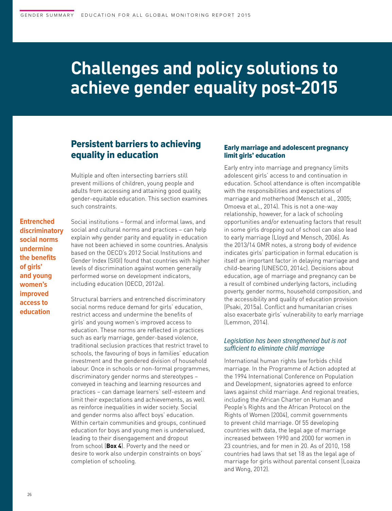## <span id="page-32-0"></span>**Challenges and policy solutions to achieve gender equality post-2015**

## Persistent barriers to achieving equality in education

Multiple and often intersecting barriers still prevent millions of children, young people and adults from accessing and attaining good quality, gender-equitable education. This section examines such constraints.

**Entrenched discriminatory social norms undermine the benefits of girls' and young women's improved access to education**

Social institutions – formal and informal laws, and social and cultural norms and practices – can help explain why gender parity and equality in education have not been achieved in some countries. Analysis based on the OECD's 2012 Social Institutions and Gender Index (SIGI) found that countries with higher levels of discrimination against women generally performed worse on development indicators, including education (OECD, 2012a).

Structural barriers and entrenched discriminatory social norms reduce demand for girls' education, restrict access and undermine the benefits of girls' and young women's improved access to education. These norms are reflected in practices such as early marriage, gender-based violence, traditional seclusion practices that restrict travel to schools, the favouring of boys in families' education investment and the gendered division of household labour. Once in schools or non-formal programmes, discriminatory gender norms and stereotypes – conveyed in teaching and learning resources and practices – can damage learners' self-esteem and limit their expectations and achievements, as well as reinforce inequalities in wider society. Social and gender norms also affect boys' education. Within certain communities and groups, continued education for boys and young men is undervalued, leading to their disengagement and dropout from school (**Box 4**). Poverty and the need or desire to work also underpin constraints on boys' completion of schooling.

## Early marriage and adolescent pregnancy limit girls' education

Early entry into marriage and pregnancy limits adolescent girls' access to and continuation in education. School attendance is often incompatible with the responsibilities and expectations of marriage and motherhood (Mensch et al., 2005; Omoeva et al., 2014). This is not a one-way relationship, however, for a lack of schooling opportunities and/or extenuating factors that result in some girls dropping out of school can also lead to early marriage (Lloyd and Mensch, 2006). As the 2013/14 GMR notes, a strong body of evidence indicates girls' participation in formal education is itself an important factor in delaying marriage and child-bearing (UNESCO, 2014c). Decisions about education, age of marriage and pregnancy can be a result of combined underlying factors, including poverty, gender norms, household composition, and the accessibility and quality of education provision (Psaki, 2015a). Conflict and humanitarian crises also exacerbate girls' vulnerability to early marriage (Lemmon, 2014).

### Legislation has been strengthened but is not sufficient to eliminate child marriage

International human rights law forbids child marriage. In the Programme of Action adopted at the 1994 International Conference on Population and Development, signatories agreed to enforce laws against child marriage. And regional treaties, including the African Charter on Human and People's Rights and the African Protocol on the Rights of Women (2004), commit governments to prevent child marriage. Of 55 developing countries with data, the legal age of marriage increased between 1990 and 2000 for women in 23 countries, and for men in 20. As of 2010, 158 countries had laws that set 18 as the legal age of marriage for girls without parental consent (Loaiza and Wong, 2012).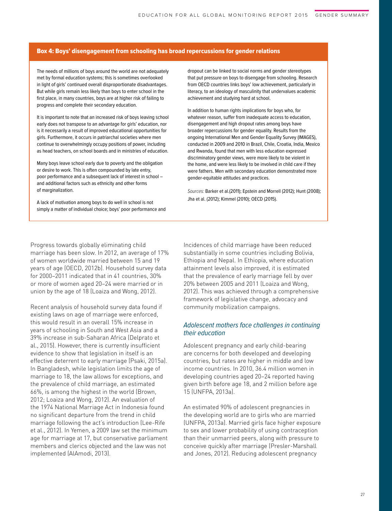### Box 4: Boys' disengagement from schooling has broad repercussions for gender relations

The needs of millions of boys around the world are not adequately met by formal education systems; this is sometimes overlooked in light of girls' continued overall disproportionate disadvantages. But while girls remain less likely than boys to enter school in the first place, in many countries, boys are at higher risk of failing to progress and complete their secondary education.

It is important to note that an increased risk of boys leaving school early does not transpose to an advantage for girls' education, nor is it necessarily a result of improved educational opportunities for girls. Furthermore, it occurs in patriarchal societies where men continue to overwhelmingly occupy positions of power, including as head teachers, on school boards and in ministries of education.

Many boys leave school early due to poverty and the obligation or desire to work. This is often compounded by late entry, poor performance and a subsequent lack of interest in school – and additional factors such as ethnicity and other forms of marginalization.

A lack of motivation among boys to do well in school is not simply a matter of individual choice; boys' poor performance and dropout can be linked to social norms and gender stereotypes that put pressure on boys to disengage from schooling. Research from OECD countries links boys' low achievement, particularly in literacy, to an ideology of masculinity that undervalues academic achievement and studying hard at school.

In addition to human rights implications for boys who, for whatever reason, suffer from inadequate access to education, disengagement and high dropout rates among boys have broader repercussions for gender equality. Results from the ongoing International Men and Gender Equality Survey (IMAGES), conducted in 2009 and 2010 in Brazil, Chile, Croatia, India, Mexico and Rwanda, found that men with less education expressed discriminatory gender views, were more likely to be violent in the home, and were less likely to be involved in child care if they were fathers. Men with secondary education demonstrated more gender-equitable attitudes and practices.

Sources: Barker et al.(2011); Epstein and Morrell (2012); Hunt (2008); Jha et al. (2012); Kimmel (2010); OECD (2015).

Progress towards globally eliminating child marriage has been slow. In 2012, an average of 17% of women worldwide married between 15 and 19 years of age (OECD, 2012b). Household survey data for 2000–2011 indicated that in 41 countries, 30% or more of women aged 20–24 were married or in union by the age of 18 (Loaiza and Wong, 2012).

Recent analysis of household survey data found if existing laws on age of marriage were enforced, this would result in an overall 15% increase in years of schooling in South and West Asia and a 39% increase in sub-Saharan Africa (Delprato et al., 2015). However, there is currently insufficient evidence to show that legislation in itself is an effective deterrent to early marriage (Psaki, 2015a). In Bangladesh, while legislation limits the age of marriage to 18, the law allows for exceptions, and the prevalence of child marriage, an estimated 66%, is among the highest in the world (Brown, 2012; Loaiza and Wong, 2012). An evaluation of the 1974 National Marriage Act in Indonesia found no significant departure from the trend in child marriage following the act's introduction (Lee-Rife et al., 2012). In Yemen, a 2009 law set the minimum age for marriage at 17, but conservative parliament members and clerics objected and the law was not implemented (AlAmodi, 2013).

Incidences of child marriage have been reduced substantially in some countries including Bolivia, Ethiopia and Nepal. In Ethiopia, where education attainment levels also improved, it is estimated that the prevalence of early marriage fell by over 20% between 2005 and 2011 (Loaiza and Wong, 2012). This was achieved through a comprehensive framework of legislative change, advocacy and community mobilization campaigns.

## Adolescent mothers face challenges in continuing their education

Adolescent pregnancy and early child-bearing are concerns for both developed and developing countries, but rates are higher in middle and low income countries. In 2010, 36.4 million women in developing countries aged 20–24 reported having given birth before age 18, and 2 million before age 15 (UNFPA, 2013a).

An estimated 90% of adolescent pregnancies in the developing world are to girls who are married (UNFPA, 2013a). Married girls face higher exposure to sex and lower probability of using contraception than their unmarried peers, along with pressure to conceive quickly after marriage (Presler-Marshall and Jones, 2012). Reducing adolescent pregnancy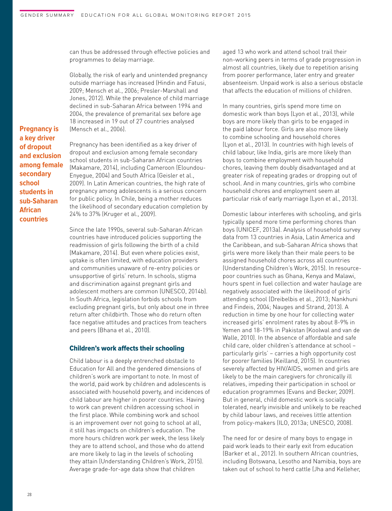can thus be addressed through effective policies and programmes to delay marriage.

Globally, the risk of early and unintended pregnancy outside marriage has increased (Hindin and Fatusi, 2009; Mensch et al., 2006; Presler-Marshall and Jones, 2012). While the prevalence of child marriage declined in sub-Saharan Africa between 1994 and 2004, the prevalence of premarital sex before age 18 increased in 19 out of 27 countries analysed (Mensch et al., 2006).

Pregnancy has been identified as a key driver of dropout and exclusion among female secondary school students in sub-Saharan African countries (Makamare, 2014), including Cameroon (Eloundou-Enyegue, 2004) and South Africa (Geisler et al., 2009). In Latin American countries, the high rate of pregnancy among adolescents is a serious concern for public policy. In Chile, being a mother reduces the likelihood of secondary education completion by 24% to 37% (Kruger et al., 2009).

Since the late 1990s, several sub-Saharan African countries have introduced policies supporting the readmission of girls following the birth of a child (Makamare, 2014). But even where policies exist, uptake is often limited, with education providers and communities unaware of re-entry policies or unsupportive of girls' return. In schools, stigma and discrimination against pregnant girls and adolescent mothers are common (UNESCO, 2014b). In South Africa, legislation forbids schools from excluding pregnant girls, but only about one in three return after childbirth. Those who do return often face negative attitudes and practices from teachers and peers (Bhana et al., 2010).

#### Children's work affects their schooling

Child labour is a deeply entrenched obstacle to Education for All and the gendered dimensions of children's work are important to note. In most of the world, paid work by children and adolescents is associated with household poverty, and incidences of child labour are higher in poorer countries. Having to work can prevent children accessing school in the first place. While combining work and school is an improvement over not going to school at all, it still has impacts on children's education. The more hours children work per week, the less likely they are to attend school, and those who do attend are more likely to lag in the levels of schooling they attain (Understanding Children's Work, 2015). Average grade-for-age data show that children

aged 13 who work and attend school trail their non-working peers in terms of grade progression in almost all countries, likely due to repetition arising from poorer performance, later entry and greater absenteeism. Unpaid work is also a serious obstacle that affects the education of millions of children.

In many countries, girls spend more time on domestic work than boys (Lyon et al., 2013), while boys are more likely than girls to be engaged in the paid labour force. Girls are also more likely to combine schooling and household chores (Lyon et al., 2013). In countries with high levels of child labour, like India, girls are more likely than boys to combine employment with household chores, leaving them doubly disadvantaged and at greater risk of repeating grades or dropping out of school. And in many countries, girls who combine household chores and employment seem at particular risk of early marriage (Lyon et al., 2013).

Domestic labour interferes with schooling, and girls typically spend more time performing chores than boys (UNICEF, 2013a). Analysis of household survey data from 13 countries in Asia, Latin America and the Caribbean, and sub-Saharan Africa shows that girls were more likely than their male peers to be assigned household chores across all countries (Understanding Children's Work, 2015). In resourcepoor countries such as Ghana, Kenya and Malawi, hours spent in fuel collection and water haulage are negatively associated with the likelihood of girls' attending school (Dreibelbis et al., 2013; Nankhuni and Findeis, 2004; Nauges and Strand, 2013). A reduction in time by one hour for collecting water increased girls' enrolment rates by about 8-9% in Yemen and 18-19% in Pakistan (Koolwal and van de Walle, 2010). In the absence of affordable and safe child care, older children's attendance at school – particularly girls' – carries a high opportunity cost for poorer families (Keilland, 2015). In countries severely affected by HIV/AIDS, women and girls are likely to be the main caregivers for chronically ill relatives, impeding their participation in school or education programmes (Evans and Becker, 2009). But in general, child domestic work is socially tolerated, nearly invisible and unlikely to be reached by child labour laws, and receives little attention from policy-makers (ILO, 2013a; UNESCO, 2008).

The need for or desire of many boys to engage in paid work leads to their early exit from education (Barker et al., 2012). In southern African countries, including Botswana, Lesotho and Namibia, boys are taken out of school to herd cattle (Jha and Kelleher,

**Pregnancy is a key driver of dropout and exclusion among female secondary school students in sub-Saharan African countries**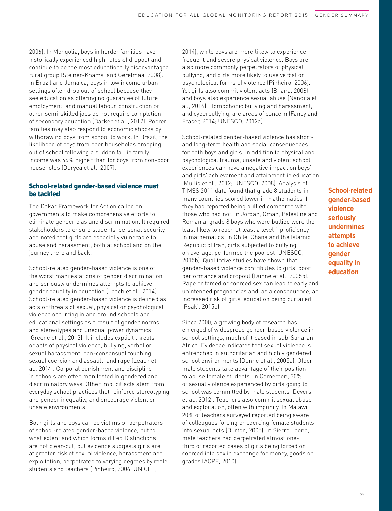2006). In Mongolia, boys in herder families have historically experienced high rates of dropout and continue to be the most educationally disadvantaged rural group (Steiner-Khamsi and Gerelmaa, 2008). In Brazil and Jamaica, boys in low income urban settings often drop out of school because they see education as offering no guarantee of future employment, and manual labour, construction or other semi-skilled jobs do not require completion of secondary education (Barker et al., 2012). Poorer families may also respond to economic shocks by withdrawing boys from school to work. In Brazil, the likelihood of boys from poor households dropping out of school following a sudden fall in family income was 46% higher than for boys from non-poor households (Duryea et al., 2007).

## School-related gender-based violence must be tackled

The Dakar Framework for Action called on governments to make comprehensive efforts to eliminate gender bias and discrimination. It required stakeholders to ensure students' personal security, and noted that girls are especially vulnerable to abuse and harassment, both at school and on the journey there and back.

School-related gender-based violence is one of the worst manifestations of gender discrimination and seriously undermines attempts to achieve gender equality in education (Leach et al., 2014). School-related gender-based violence is defined as acts or threats of sexual, physical or psychological violence occurring in and around schools and educational settings as a result of gender norms and stereotypes and unequal power dynamics (Greene et al., 2013). It includes explicit threats or acts of physical violence, bullying, verbal or sexual harassment, non-consensual touching, sexual coercion and assault, and rape (Leach et al., 2014). Corporal punishment and discipline in schools are often manifested in gendered and discriminatory ways. Other implicit acts stem from everyday school practices that reinforce stereotyping and gender inequality, and encourage violent or unsafe environments.

Both girls and boys can be victims or perpetrators of school-related gender-based violence, but to what extent and which forms differ. Distinctions are not clear-cut, but evidence suggests girls are at greater risk of sexual violence, harassment and exploitation, perpetrated to varying degrees by male students and teachers (Pinheiro, 2006; UNICEF,

2014), while boys are more likely to experience frequent and severe physical violence. Boys are also more commonly perpetrators of physical bullying, and girls more likely to use verbal or psychological forms of violence (Pinheiro, 2006). Yet girls also commit violent acts (Bhana, 2008) and boys also experience sexual abuse (Nandita et al., 2014). Homophobic bullying and harassment, and cyberbullying, are areas of concern (Fancy and Fraser, 2014; UNESCO, 2012a).

School-related gender-based violence has shortand long-term health and social consequences for both boys and girls. In addition to physical and psychological trauma, unsafe and violent school experiences can have a negative impact on boys' and girls' achievement and attainment in education (Mullis et al., 2012; UNESCO, 2008). Analysis of TIMSS 2011 data found that grade 8 students in many countries scored lower in mathematics if they had reported being bullied compared with those who had not. In Jordan, Oman, Palestine and Romania, grade 8 boys who were bullied were the least likely to reach at least a level 1 proficiency in mathematics; in Chile, Ghana and the Islamic Republic of Iran, girls subjected to bullying, on average, performed the poorest (UNESCO, 2015b). Qualitative studies have shown that gender-based violence contributes to girls' poor performance and dropout (Dunne et al., 2005b). Rape or forced or coerced sex can lead to early and unintended pregnancies and, as a consequence, an increased risk of girls' education being curtailed (Psaki, 2015b).

Since 2000, a growing body of research has emerged of widespread gender-based violence in school settings, much of it based in sub-Saharan Africa. Evidence indicates that sexual violence is entrenched in authoritarian and highly gendered school environments (Dunne et al., 2005a). Older male students take advantage of their position to abuse female students. In Cameroon, 30% of sexual violence experienced by girls going to school was committed by male students (Devers et al., 2012). Teachers also commit sexual abuse and exploitation, often with impunity. In Malawi, 20% of teachers surveyed reported being aware of colleagues forcing or coercing female students into sexual acts (Burton, 2005). In Sierra Leone, male teachers had perpetrated almost onethird of reported cases of girls being forced or coerced into sex in exchange for money, goods or grades (ACPF, 2010).

## **School-related gender-based violence seriously undermines attempts to achieve gender equality in education**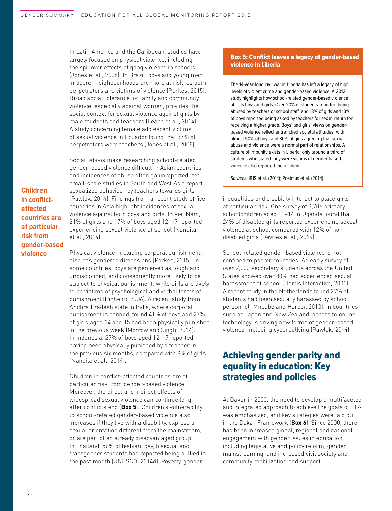In Latin America and the Caribbean, studies have largely focused on physical violence, including the spillover effects of gang violence in schools (Jones et al., 2008). In Brazil, boys and young men in poorer neighbourhoods are more at risk, as both perpetrators and victims of violence (Parkes, 2015). Broad social tolerance for family and community violence, especially against women, provides the social context for sexual violence against girls by male students and teachers (Leach et al., 2014). A study concerning female adolescent victims of sexual violence in Ecuador found that 37% of perpetrators were teachers (Jones et al., 2008).

Social taboos make researching school-related gender-based violence difficult in Asian countries and incidences of abuse often go unreported. Yet small-scale studies in South and West Asia report sexualized behaviour by teachers towards girls (Pawlak, 2014). Findings from a recent study of five countries in Asia highlight incidences of sexual violence against both boys and girls. In Viet Nam, 21% of girls and 17% of boys aged 12–17 reported experiencing sexual violence at school (Nandita et al., 2014).

**Children in conflictaffected countries are at particular risk from gender-based violence**

Physical violence, including corporal punishment, also has gendered dimensions (Parkes, 2015). In some countries, boys are perceived as tough and undisciplined, and consequently more likely to be subject to physical punishment, while girls are likely to be victims of psychological and verbal forms of punishment (Pinheiro, 2006). A recent study from Andhra Pradesh state in India, where corporal punishment is banned, found 41% of boys and 27% of girls aged 14 and 15 had been physically punished in the previous week (Morrow and Singh, 2014). In Indonesia, 27% of boys aged 12–17 reported having been physically punished by a teacher in the previous six months, compared with 9% of girls (Nandita et al., 2014).

Children in conflict-affected countries are at particular risk from gender-based violence. Moreover, the direct and indirect effects of widespread sexual violence can continue long after conflicts end (**Box 5**). Children's vulnerability to school-related gender-based violence also increases if they live with a disability, express a sexual orientation different from the mainstream, or are part of an already disadvantaged group. In Thailand, 56% of lesbian, gay, bisexual and transgender students had reported being bullied in the past month (UNESCO, 2014d). Poverty, gender

## Box 5: Conflict leaves a legacy of gender-based violence in Liberia

The 14-year-long civil war in Liberia has left a legacy of high levels of violent crime and gender-based violence. A 2012 study highlights how school-related gender-based violence affects boys and girls. Over 20% of students reported being abused by teachers or school staff, and 18% of girls and 13% of boys reported being asked by teachers for sex in return for receiving a higher grade. Boys' and girls' views on genderbased violence reflect entrenched societal attitudes, with almost 50% of boys and 30% of girls agreeing that sexual abuse and violence were a normal part of relationships. A culture of impunity exists in Liberia: only around a third of students who stated they were victims of gender-based violence also reported the incident.

Sources: IBIS et al. (2014); Postmus et al. (2014).

inequalities and disability interact to place girls at particular risk. One survey of 3,706 primary schoolchildren aged 11–14 in Uganda found that 24% of disabled girls reported experiencing sexual violence at school compared with 12% of nondisabled girls (Devries et al., 2014).

School-related gender-based violence is not confined to poorer countries. An early survey of over 2,000 secondary students across the United States showed over 80% had experienced sexual harassment at school (Harris Interactive, 2001). A recent study in the Netherlands found 27% of students had been sexually harassed by school personnel (Mncube and Harber, 2013). In countries such as Japan and New Zealand, access to online technology is driving new forms of gender-based violence, including cyberbullying (Pawlak, 2014).

## Achieving gender parity and equality in education: Key strategies and policies

At Dakar in 2000, the need to develop a multifaceted and integrated approach to achieve the goals of EFA was emphasized, and key strategies were laid out in the Dakar Framework (**Box 6**). Since 2000, there has been increased global, regional and national engagement with gender issues in education, including legislative and policy reform, gender mainstreaming, and increased civil society and community mobilization and support.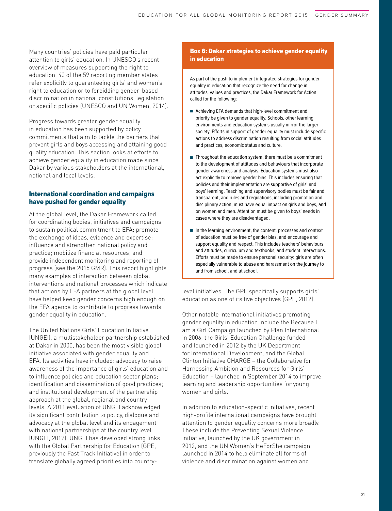Many countries' policies have paid particular attention to girls' education. In UNESCO's recent overview of measures supporting the right to education, 40 of the 59 reporting member states refer explicitly to guaranteeing girls' and women's right to education or to forbidding gender-based discrimination in national constitutions, legislation or specific policies (UNESCO and UN Women, 2014).

Progress towards greater gender equality in education has been supported by policy commitments that aim to tackle the barriers that prevent girls and boys accessing and attaining good quality education. This section looks at efforts to achieve gender equality in education made since Dakar by various stakeholders at the international, national and local levels.

## International coordination and campaigns have pushed for gender equality

At the global level, the Dakar Framework called for coordinating bodies, initiatives and campaigns to sustain political commitment to EFA; promote the exchange of ideas, evidence and expertise; influence and strengthen national policy and practice; mobilize financial resources; and provide independent monitoring and reporting of progress (see the 2015 GMR). This report highlights many examples of interaction between global interventions and national processes which indicate that actions by EFA partners at the global level have helped keep gender concerns high enough on the EFA agenda to contribute to progress towards gender equality in education.

The United Nations Girls' Education Initiative (UNGEI), a multistakeholder partnership established at Dakar in 2000, has been the most visible global initiative associated with gender equality and EFA. Its activities have included: advocacy to raise awareness of the importance of girls' education and to influence policies and education sector plans; identification and dissemination of good practices; and institutional development of the partnership approach at the global, regional and country levels. A 2011 evaluation of UNGEI acknowledged its significant contribution to policy, dialogue and advocacy at the global level and its engagement with national partnerships at the country level (UNGEI, 2012). UNGEI has developed strong links with the Global Partnership for Education (GPE, previously the Fast Track Initiative) in order to translate globally agreed priorities into country-

## Box 6: Dakar strategies to achieve gender equality in education

As part of the push to implement integrated strategies for gender equality in education that recognize the need for change in attitudes, values and practices, the Dakar Framework for Action called for the following:

- Achieving EFA demands that high-level commitment and priority be given to gender equality. Schools, other learning environments and education systems usually mirror the larger society. Efforts in support of gender equality must include specific actions to address discrimination resulting from social attitudes and practices, economic status and culture.
- Throughout the education system, there must be a commitment to the development of attitudes and behaviours that incorporate gender awareness and analysis. Education systems must also act explicitly to remove gender bias. This includes ensuring that policies and their implementation are supportive of girls' and boys' learning. Teaching and supervisory bodies must be fair and transparent, and rules and regulations, including promotion and disciplinary action, must have equal impact on girls and boys, and on women and men. Attention must be given to boys' needs in cases where they are disadvantaged.
- In the learning environment, the content, processes and context of education must be free of gender bias, and encourage and support equality and respect. This includes teachers' behaviours and attitudes, curriculum and textbooks, and student interactions. Efforts must be made to ensure personal security: girls are often especially vulnerable to abuse and harassment on the journey to and from school, and at school.

level initiatives. The GPE specifically supports girls' education as one of its five objectives (GPE, 2012).

Other notable international initiatives promoting gender equality in education include the Because I am a Girl Campaign launched by Plan International in 2006, the Girls' Education Challenge funded and launched in 2012 by the UK Department for International Development, and the Global Clinton Initiative CHARGE – the Collaborative for Harnessing Ambition and Resources for Girls' Education – launched in September 2014 to improve learning and leadership opportunities for young women and girls.

In addition to education-specific initiatives, recent high-profile international campaigns have brought attention to gender equality concerns more broadly. These include the Preventing Sexual Violence initiative, launched by the UK government in 2012, and the UN Women's HeForShe campaign launched in 2014 to help eliminate all forms of violence and discrimination against women and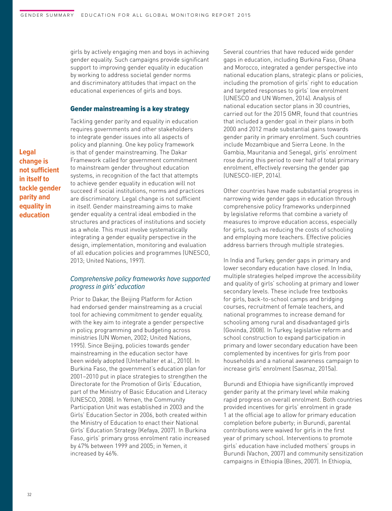girls by actively engaging men and boys in achieving gender equality. Such campaigns provide significant support to improving gender equality in education by working to address societal gender norms and discriminatory attitudes that impact on the educational experiences of girls and boys.

### Gender mainstreaming is a key strategy

Tackling gender parity and equality in education requires governments and other stakeholders to integrate gender issues into all aspects of policy and planning. One key policy framework is that of gender mainstreaming. The Dakar Framework called for government commitment to mainstream gender throughout education systems, in recognition of the fact that attempts to achieve gender equality in education will not succeed if social institutions, norms and practices are discriminatory. Legal change is not sufficient in itself. Gender mainstreaming aims to make gender equality a central ideal embodied in the structures and practices of institutions and society as a whole. This must involve systematically integrating a gender equality perspective in the design, implementation, monitoring and evaluation of all education policies and programmes (UNESCO, 2013; United Nations, 1997).

## Comprehensive policy frameworks have supported progress in girls' education

Prior to Dakar, the Beijing Platform for Action had endorsed gender mainstreaming as a crucial tool for achieving commitment to gender equality, with the key aim to integrate a gender perspective in policy, programming and budgeting across ministries (UN Women, 2002; United Nations, 1995). Since Beijing, policies towards gender mainstreaming in the education sector have been widely adopted (Unterhalter et al., 2010). In Burkina Faso, the government's education plan for 2001–2010 put in place strategies to strengthen the Directorate for the Promotion of Girls' Education, part of the Ministry of Basic Education and Literacy (UNESCO, 2008). In Yemen, the Community Participation Unit was established in 2003 and the Girls' Education Sector in 2006, both created within the Ministry of Education to enact their National Girls' Education Strategy (Kefaya, 2007). In Burkina Faso, girls' primary gross enrolment ratio increased by 47% between 1999 and 2005; in Yemen, it increased by 46%.

Several countries that have reduced wide gender gaps in education, including Burkina Faso, Ghana and Morocco, integrated a gender perspective into national education plans, strategic plans or policies, including the promotion of girls' right to education and targeted responses to girls' low enrolment (UNESCO and UN Women, 2014). Analysis of national education sector plans in 30 countries, carried out for the 2015 GMR, found that countries that included a gender goal in their plans in both 2000 and 2012 made substantial gains towards gender parity in primary enrolment. Such countries include Mozambique and Sierra Leone. In the Gambia, Mauritania and Senegal, girls' enrolment rose during this period to over half of total primary enrolment, effectively reversing the gender gap (UNESCO-IIEP, 2014).

Other countries have made substantial progress in narrowing wide gender gaps in education through comprehensive policy frameworks underpinned by legislative reforms that combine a variety of measures to improve education access, especially for girls, such as reducing the costs of schooling and employing more teachers. Effective policies address barriers through multiple strategies.

In India and Turkey, gender gaps in primary and lower secondary education have closed. In India, multiple strategies helped improve the accessibility and quality of girls' schooling at primary and lower secondary levels. These include free textbooks for girls, back-to-school camps and bridging courses, recruitment of female teachers, and national programmes to increase demand for schooling among rural and disadvantaged girls (Govinda, 2008). In Turkey, legislative reform and school construction to expand participation in primary and lower secondary education have been complemented by incentives for girls from poor households and a national awareness campaign to increase girls' enrolment (Sasmaz, 2015a).

Burundi and Ethiopia have significantly improved gender parity at the primary level while making rapid progress on overall enrolment. Both countries provided incentives for girls' enrolment in grade 1 at the official age to allow for primary education completion before puberty; in Burundi, parental contributions were waived for girls in the first year of primary school. Interventions to promote girls' education have included mothers' groups in Burundi (Vachon, 2007) and community sensitization campaigns in Ethiopia (Bines, 2007). In Ethiopia,

**Legal change is not sufficient in itself to tackle gender parity and equality in education**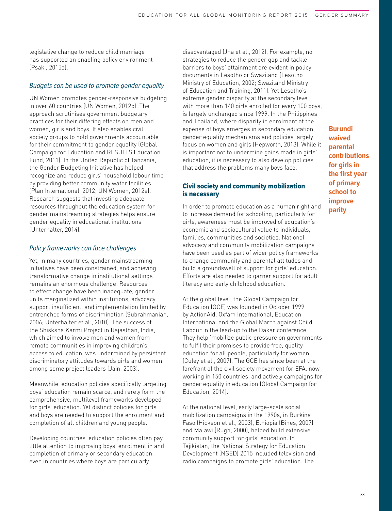legislative change to reduce child marriage has supported an enabling policy environment (Psaki, 2015a).

## Budgets can be used to promote gender equality

UN Women promotes gender-responsive budgeting in over 60 countries (UN Women, 2012b). The approach scrutinises government budgetary practices for their differing effects on men and women, girls and boys. It also enables civil society groups to hold governments accountable for their commitment to gender equality (Global Campaign for Education and RESULTS Education Fund, 2011). In the United Republic of Tanzania, the Gender Budgeting Initiative has helped recognize and reduce girls' household labour time by providing better community water facilities (Plan International, 2012; UN Women, 2012a). Research suggests that investing adequate resources throughout the education system for gender mainstreaming strategies helps ensure gender equality in educational institutions (Unterhalter, 2014).

## Policy frameworks can face challenges

Yet, in many countries, gender mainstreaming initiatives have been constrained, and achieving transformative change in institutional settings remains an enormous challenge. Resources to effect change have been inadequate, gender units marginalized within institutions, advocacy support insufficient, and implementation limited by entrenched forms of discrimination (Subrahmanian, 2006; Unterhalter et al., 2010). The success of the Shisksha Karmi Project in Rajasthan, India, which aimed to involve men and women from remote communities in improving children's access to education, was undermined by persistent discriminatory attitudes towards girls and women among some project leaders (Jain, 2003).

Meanwhile, education policies specifically targeting boys' education remain scarce, and rarely form the comprehensive, multilevel frameworks developed for girls' education. Yet distinct policies for girls and boys are needed to support the enrolment and completion of all children and young people.

Developing countries' education policies often pay little attention to improving boys' enrolment in and completion of primary or secondary education, even in countries where boys are particularly

disadvantaged (Jha et al., 2012). For example, no strategies to reduce the gender gap and tackle barriers to boys' attainment are evident in policy documents in Lesotho or Swaziland (Lesotho Ministry of Education, 2002; Swaziland Ministry of Education and Training, 2011). Yet Lesotho's extreme gender disparity at the secondary level, with more than 140 girls enrolled for every 100 boys, is largely unchanged since 1999. In the Philippines and Thailand, where disparity in enrolment at the expense of boys emerges in secondary education, gender equality mechanisms and policies largely focus on women and girls (Hepworth, 2013). While it is important not to undermine gains made in girls' education, it is necessary to also develop policies that address the problems many boys face.

## Civil society and community mobilization is necessary

In order to promote education as a human right and to increase demand for schooling, particularly for girls, awareness must be improved of education's economic and sociocultural value to individuals, families, communities and societies. National advocacy and community mobilization campaigns have been used as part of wider policy frameworks to change community and parental attitudes and build a groundswell of support for girls' education. Efforts are also needed to garner support for adult literacy and early childhood education.

At the global level, the Global Campaign for Education (GCE) was founded in October 1999 by ActionAid, Oxfam International, Education International and the Global March against Child Labour in the lead-up to the Dakar conference. They help 'mobilize public pressure on governments to fulfil their promises to provide free, quality education for all people, particularly for women' (Culey et al., 2007), The GCE has since been at the forefront of the civil society movement for EFA, now working in 150 countries, and actively campaigns for gender equality in education (Global Campaign for Education, 2014).

At the national level, early large-scale social mobilization campaigns in the 1990s, in Burkina Faso (Hickson et al., 2003), Ethiopia (Bines, 2007) and Malawi (Rugh, 2000), helped build extensive community support for girls' education. In Tajikistan, the National Strategy for Education Development (NSED) 2015 included television and radio campaigns to promote girls' education. The

**Burundi waived parental contributions for girls in the first year of primary school to improve parity**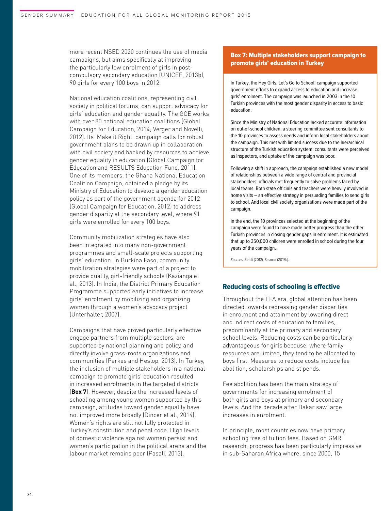more recent NSED 2020 continues the use of media campaigns, but aims specifically at improving the particularly low enrolment of girls in postcompulsory secondary education (UNICEF, 2013b), 90 girls for every 100 boys in 2012.

National education coalitions, representing civil society in political forums, can support advocacy for girls' education and gender equality. The GCE works with over 80 national education coalitions (Global Campaign for Education, 2014; Verger and Novelli, 2012). Its 'Make it Right' campaign calls for robust government plans to be drawn up in collaboration with civil society and backed by resources to achieve gender equality in education (Global Campaign for Education and RESULTS Education Fund, 2011). One of its members, the Ghana National Education Coalition Campaign, obtained a pledge by its Ministry of Education to develop a gender education policy as part of the government agenda for 2012 (Global Campaign for Education, 2012) to address gender disparity at the secondary level, where 91 girls were enrolled for every 100 boys.

Community mobilization strategies have also been integrated into many non-government programmes and small-scale projects supporting girls' education. In Burkina Faso, community mobilization strategies were part of a project to provide quality, girl-friendly schools (Kazianga et al., 2013). In India, the District Primary Education Programme supported early initiatives to increase girls' enrolment by mobilizing and organizing women through a women's advocacy project (Unterhalter, 2007).

Campaigns that have proved particularly effective engage partners from multiple sectors, are supported by national planning and policy, and directly involve grass-roots organizations and communities (Parkes and Heslop, 2013). In Turkey, the inclusion of multiple stakeholders in a national campaign to promote girls' education resulted in increased enrolments in the targeted districts (**Box 7**). However, despite the increased levels of schooling among young women supported by this campaign, attitudes toward gender equality have not improved more broadly (Dincer et al., 2014). Women's rights are still not fully protected in Turkey's constitution and penal code. High levels of domestic violence against women persist and women's participation in the political arena and the labour market remains poor (Pasali, 2013).

## Box 7: Multiple stakeholders support campaign to promote girls' education in Turkey

In Turkey, the Hey Girls, Let's Go to School! campaign supported government efforts to expand access to education and increase girls' enrolment. The campaign was launched in 2003 in the 10 Turkish provinces with the most gender disparity in access to basic education.

Since the Ministry of National Education lacked accurate information on out-of-school children, a steering committee sent consultants to the 10 provinces to assess needs and inform local stakeholders about the campaign. This met with limited success due to the hierarchical structure of the Turkish education system: consultants were perceived as inspectors, and uptake of the campaign was poor.

Following a shift in approach, the campaign established a new model of relationships between a wide range of central and provincial stakeholders: officials met frequently to solve problems faced by local teams. Both state officials and teachers were heavily involved in home visits – an effective strategy in persuading families to send girls to school. And local civil society organizations were made part of the campaign.

In the end, the 10 provinces selected at the beginning of the campaign were found to have made better progress than the other Turkish provinces in closing gender gaps in enrolment. It is estimated that up to 350,000 children were enrolled in school during the four years of the campaign.

Sources: Beleli (2012); Sasmaz (2015b).

## Reducing costs of schooling is effective

Throughout the EFA era, global attention has been directed towards redressing gender disparities in enrolment and attainment by lowering direct and indirect costs of education to families, predominantly at the primary and secondary school levels. Reducing costs can be particularly advantageous for girls because, where family resources are limited, they tend to be allocated to boys first. Measures to reduce costs include fee abolition, scholarships and stipends.

Fee abolition has been the main strategy of governments for increasing enrolment of both girls and boys at primary and secondary levels. And the decade after Dakar saw large increases in enrolment.

In principle, most countries now have primary schooling free of tuition fees. Based on GMR research, progress has been particularly impressive in sub-Saharan Africa where, since 2000, 15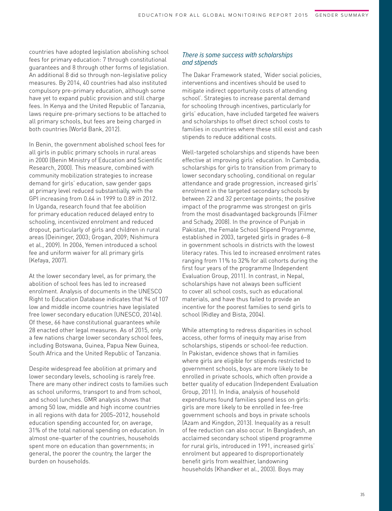countries have adopted legislation abolishing school fees for primary education: 7 through constitutional guarantees and 8 through other forms of legislation. An additional 8 did so through non-legislative policy measures. By 2014, 40 countries had also instituted compulsory pre-primary education, although some have yet to expand public provision and still charge fees. In Kenya and the United Republic of Tanzania, laws require pre-primary sections to be attached to all primary schools, but fees are being charged in both countries (World Bank, 2012).

In Benin, the government abolished school fees for all girls in public primary schools in rural areas in 2000 (Benin Ministry of Education and Scientific Research, 2000). This measure, combined with community mobilization strategies to increase demand for girls' education, saw gender gaps at primary level reduced substantially, with the GPI increasing from 0.64 in 1999 to 0.89 in 2012. In Uganda, research found that fee abolition for primary education reduced delayed entry to schooling, incentivized enrolment and reduced dropout, particularly of girls and children in rural areas (Deininger, 2003; Grogan, 2009; Nishimura et al., 2009). In 2006, Yemen introduced a school fee and uniform waiver for all primary girls (Kefaya, 2007).

At the lower secondary level, as for primary, the abolition of school fees has led to increased enrolment. Analysis of documents in the UNESCO Right to Education Database indicates that 94 of 107 low and middle income countries have legislated free lower secondary education (UNESCO, 2014b). Of these, 66 have constitutional guarantees while 28 enacted other legal measures. As of 2015, only a few nations charge lower secondary school fees, including Botswana, Guinea, Papua New Guinea, South Africa and the United Republic of Tanzania.

Despite widespread fee abolition at primary and lower secondary levels, schooling is rarely free. There are many other indirect costs to families such as school uniforms, transport to and from school, and school lunches. GMR analysis shows that among 50 low, middle and high income countries in all regions with data for 2005–2012, household education spending accounted for, on average, 31% of the total national spending on education. In almost one-quarter of the countries, households spent more on education than governments; in general, the poorer the country, the larger the burden on households.

## There is some success with scholarships and stipends

The Dakar Framework stated, 'Wider social policies, interventions and incentives should be used to mitigate indirect opportunity costs of attending school'. Strategies to increase parental demand for schooling through incentives, particularly for girls' education, have included targeted fee waivers and scholarships to offset direct school costs to families in countries where these still exist and cash stipends to reduce additional costs.

Well-targeted scholarships and stipends have been effective at improving girls' education. In Cambodia, scholarships for girls to transition from primary to lower secondary schooling, conditional on regular attendance and grade progression, increased girls' enrolment in the targeted secondary schools by between 22 and 32 percentage points; the positive impact of the programme was strongest on girls from the most disadvantaged backgrounds (Filmer and Schady, 2008). In the province of Punjab in Pakistan, the Female School Stipend Programme, established in 2003, targeted girls in grades 6–8 in government schools in districts with the lowest literacy rates. This led to increased enrolment rates ranging from 11% to 32% for all cohorts during the first four years of the programme (Independent Evaluation Group, 2011). In contrast, in Nepal, scholarships have not always been sufficient to cover all school costs, such as educational materials, and have thus failed to provide an incentive for the poorest families to send girls to school (Ridley and Bista, 2004).

While attempting to redress disparities in school access, other forms of inequity may arise from scholarships, stipends or school-fee reduction. In Pakistan, evidence shows that in families where girls are eligible for stipends restricted to government schools, boys are more likely to be enrolled in private schools, which often provide a better quality of education (Independent Evaluation Group, 2011). In India, analysis of household expenditures found families spend less on girls: girls are more likely to be enrolled in fee-free government schools and boys in private schools (Azam and Kingdon, 2013). Inequality as a result of fee reduction can also occur. In Bangladesh, an acclaimed secondary school stipend programme for rural girls, introduced in 1991, increased girls' enrolment but appeared to disproportionately benefit girls from wealthier, landowning households (Khandker et al., 2003). Boys may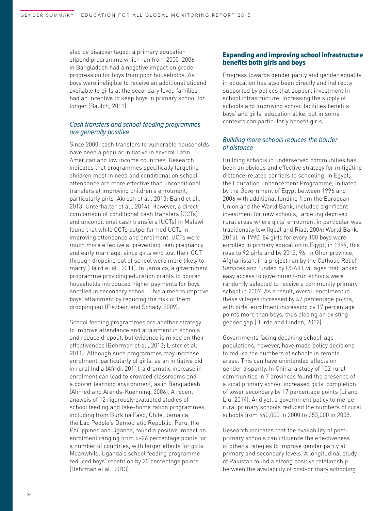also be disadvantaged: a primary education stipend programme which ran from 2000–2006 in Bangladesh had a negative impact on grade progression for boys from poor households. As boys were ineligible to receive an additional stipend available to girls at the secondary level, families had an incentive to keep boys in primary school for longer (Baulch, 2011).

## Cash transfers and school-feeding programmes are generally positive

Since 2000, cash transfers to vulnerable households have been a popular initiative in several Latin American and low income countries. Research indicates that programmes specifically targeting children most in need and conditional on school attendance are more effective than unconditional transfers at improving children's enrolment, particularly girls (Akresh et al., 2013; Baird et al., 2013; Unterhalter et al., 2014). However, a direct comparison of conditional cash transfers (CCTs) and unconditional cash transfers (UCTs) in Malawi found that while CCTs outperformed UCTs in improving attendance and enrolment, UCTs were much more effective at preventing teen pregnancy and early marriage, since girls who lost their CCT through dropping out of school were more likely to marry (Baird et al., 2011). In Jamaica, a government programme providing education grants to poorer households introduced higher payments for boys enrolled in secondary school. This aimed to improve boys' attainment by reducing the risk of them dropping out (Fiszbein and Schady, 2009).

School feeding programmes are another strategy to improve attendance and attainment in schools and reduce dropout, but evidence is mixed on their effectiveness (Behrman et al., 2013; Lister et al., 2011). Although such programmes may increase enrolment, particularly of girls, as an initiative did in rural India (Afridi, 2011), a dramatic increase in enrolment can lead to crowded classrooms and a poorer learning environment, as in Bangladesh (Ahmed and Arends-Kuenning, 2006). A recent analysis of 12 rigorously evaluated studies of school feeding and take-home ration programmes, including from Burkina Faso, Chile, Jamaica, the Lao People's Democratic Republic, Peru, the Philippines and Uganda, found a positive impact on enrolment ranging from 6–26 percentage points for a number of countries, with larger effects for girls. Meanwhile, Uganda's school feeding programme reduced boys' repetition by 20 percentage points (Behrman et al., 2013).

## Expanding and improving school infrastructure benefits both girls and boys

Progress towards gender parity and gender equality in education has also been directly and indirectly supported by polices that support investment in school infrastructure. Increasing the supply of schools and improving school facilities benefits boys' and girls' education alike, but in some contexts can particularly benefit girls.

## Building more schools reduces the barrier of distance

Building schools in underserved communities has been an obvious and effective strategy for mitigating distance-related barriers to schooling. In Egypt, the Education Enhancement Programme, initiated by the Government of Egypt between 1996 and 2006 with additional funding from the European Union and the World Bank, included significant investment for new schools, targeting deprived rural areas where girls' enrolment in particular was traditionally low (Iqbal and Riad, 2004; World Bank, 2015). In 1990, 84 girls for every 100 boys were enrolled in primary education in Egypt; in 1999, this rose to 92 girls and by 2012, 96. In Ghor province, Afghanistan, in a project run by the Catholic Relief Services and funded by USAID, villages that lacked easy access to government-run schools were randomly selected to receive a community primary school in 2007. As a result, overall enrolment in these villages increased by 42 percentage points, with girls' enrolment increasing by 17 percentage points more than boys, thus closing an existing gender gap (Burde and Linden, 2012).

Governments facing declining school-age populations, however, have made policy decisions to reduce the numbers of schools in remote areas. This can have unintended effects on gender disparity. In China, a study of 102 rural communities in 7 provinces found the presence of a local primary school increased girls' completion of lower secondary by 17 percentage points (Li and Liu, 2014). And yet, a government policy to merge rural primary schools reduced the numbers of rural schools from 440,000 in 2000 to 253,000 in 2008.

Research indicates that the availability of postprimary schools can influence the effectiveness of other strategies to improve gender parity at primary and secondary levels. A longitudinal study of Pakistan found a strong positive relationship between the availability of post-primary schooling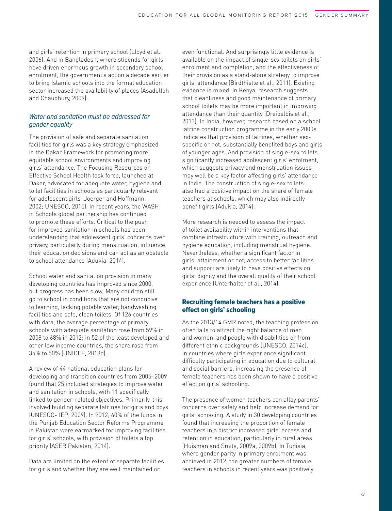and girls' retention in primary school (Lloyd et al., 2006). And in Bangladesh, where stipends for girls have driven enormous growth in secondary school enrolment, the government's action a decade earlier to bring Islamic schools into the formal education sector increased the availability of places (Asadullah and Chaudhury, 2009).

## Water and sanitation must be addressed for gender equality

The provision of safe and separate sanitation facilities for girls was a key strategy emphasized in the Dakar Framework for promoting more equitable school environments and improving girls' attendance. The Focusing Resources on Effective School Health task force, launched at Dakar, advocated for adequate water, hygiene and toilet facilities in schools as particularly relevant for adolescent girls (Joerger and Hoffmann, 2002; UNESCO, 2015). In recent years, the WASH in Schools global partnership has continued to promote these efforts. Critical to the push for improved sanitation in schools has been understanding that adolescent girls' concerns over privacy, particularly during menstruation, influence their education decisions and can act as an obstacle to school attendance (Adukia, 2014).

School water and sanitation provision in many developing countries has improved since 2000, but progress has been slow. Many children still go to school in conditions that are not conducive to learning, lacking potable water, handwashing facilities and safe, clean toilets. Of 126 countries with data, the average percentage of primary schools with adequate sanitation rose from 59% in 2008 to 68% in 2012; in 52 of the least developed and other low income countries, the share rose from 35% to 50% (UNICEF, 2013d).

A review of 44 national education plans for developing and transition countries from 2005–2009 found that 25 included strategies to improve water and sanitation in schools, with 11 specifically linked to gender-related objectives. Primarily, this involved building separate latrines for girls and boys (UNESCO-IIEP, 2009). In 2012, 60% of the funds in the Punjab Education Sector Reforms Programme in Pakistan were earmarked for improving facilities for girls' schools, with provision of toilets a top priority (ASER Pakistan, 2014).

Data are limited on the extent of separate facilities for girls and whether they are well maintained or

even functional. And surprisingly little evidence is available on the impact of single-sex toilets on girls' enrolment and completion, and the effectiveness of their provision as a stand-alone strategy to improve girls' attendance (Birdthistle et al., 2011). Existing evidence is mixed. In Kenya, research suggests that cleanliness and good maintenance of primary school toilets may be more important in improving attendance than their quantity (Dreibelbis et al., 2013). In India, however, research based on a school latrine construction programme in the early 2000s indicates that provision of latrines, whether sexspecific or not, substantially benefited boys and girls of younger ages. And provision of single-sex toilets significantly increased adolescent girls' enrolment, which suggests privacy and menstruation issues may well be a key factor affecting girls' attendance in India. The construction of single-sex toilets also had a positive impact on the share of female teachers at schools, which may also indirectly benefit girls (Adukia, 2014).

More research is needed to assess the impact of toilet availability within interventions that combine infrastructure with training, outreach and hygiene education, including menstrual hygiene. Nevertheless, whether a significant factor in girls' attainment or not, access to better facilities and support are likely to have positive effects on girls' dignity and the overall quality of their school experience (Unterhalter et al., 2014).

## Recruiting female teachers has a positive effect on girls' schooling

As the 2013/14 GMR noted, the teaching profession often fails to attract the right balance of men and women, and people with disabilities or from different ethnic backgrounds (UNESCO, 2014c). In countries where girls experience significant difficulty participating in education due to cultural and social barriers, increasing the presence of female teachers has been shown to have a positive effect on girls' schooling.

The presence of women teachers can allay parents' concerns over safety and help increase demand for girls' schooling. A study in 30 developing countries found that increasing the proportion of female teachers in a district increased girls' access and retention in education, particularly in rural areas (Huisman and Smits, 2009a, 2009b). In Tunisia, where gender parity in primary enrolment was achieved in 2012, the greater numbers of female teachers in schools in recent years was positively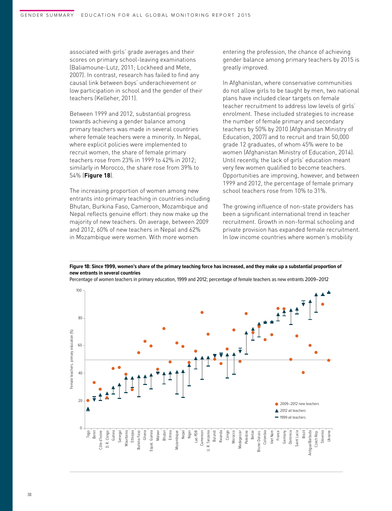associated with girls' grade averages and their scores on primary school-leaving examinations (Baliamoune-Lutz, 2011; Lockheed and Mete, 2007). In contrast, research has failed to find any causal link between boys' underachievement or low participation in school and the gender of their teachers (Kelleher, 2011).

Between 1999 and 2012, substantial progress towards achieving a gender balance among primary teachers was made in several countries where female teachers were a minority. In Nepal, where explicit policies were implemented to recruit women, the share of female primary teachers rose from 23% in 1999 to 42% in 2012; similarly in Morocco, the share rose from 39% to 54% (**Figure 18**).

The increasing proportion of women among new entrants into primary teaching in countries including Bhutan, Burkina Faso, Cameroon, Mozambique and Nepal reflects genuine effort: they now make up the majority of new teachers. On average, between 2009 and 2012, 60% of new teachers in Nepal and 62% in Mozambique were women. With more women

entering the profession, the chance of achieving gender balance among primary teachers by 2015 is greatly improved.

In Afghanistan, where conservative communities do not allow girls to be taught by men, two national plans have included clear targets on female teacher recruitment to address low levels of girls' enrolment. These included strategies to increase the number of female primary and secondary teachers by 50% by 2010 (Afghanistan Ministry of Education, 2007) and to recruit and train 50,000 grade 12 graduates, of whom 45% were to be women (Afghanistan Ministry of Education, 2014). Until recently, the lack of girls' education meant very few women qualified to become teachers. Opportunities are improving, however, and between 1999 and 2012, the percentage of female primary school teachers rose from 10% to 31%.

The growing influence of non-state providers has been a significant international trend in teacher recruitment. Growth in non-formal schooling and private provision has expanded female recruitment. In low income countries where women's mobility



Percentage of women teachers in primary education, 1999 and 2012; percentage of female teachers as new entrants 2009–2012

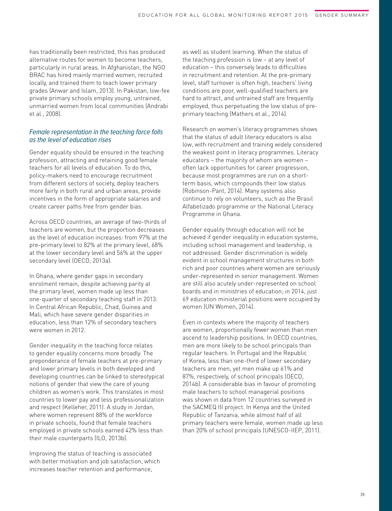has traditionally been restricted, this has produced alternative routes for women to become teachers, particularly in rural areas. In Afghanistan, the NGO BRAC has hired mainly married women, recruited locally, and trained them to teach lower primary grades (Anwar and Islam, 2013). In Pakistan, low-fee private primary schools employ young, untrained, unmarried women from local communities (Andrabi et al., 2008).

## Female representation in the teaching force falls as the level of education rises

Gender equality should be ensured in the teaching profession, attracting and retaining good female teachers for all levels of education. To do this, policy-makers need to encourage recruitment from different sectors of society, deploy teachers more fairly in both rural and urban areas, provide incentives in the form of appropriate salaries and create career paths free from gender bias.

Across OECD countries, an average of two-thirds of teachers are women, but the proportion decreases as the level of education increases: from 97% at the pre-primary level to 82% at the primary level, 68% at the lower secondary level and 56% at the upper secondary level (OECD, 2013a).

In Ghana, where gender gaps in secondary enrolment remain, despite achieving parity at the primary level, women made up less than one-quarter of secondary teaching staff in 2013. In Central African Republic, Chad, Guinea and Mali, which have severe gender disparities in education, less than 12% of secondary teachers were women in 2012.

Gender inequality in the teaching force relates to gender equality concerns more broadly. The preponderance of female teachers at pre-primary and lower primary levels in both developed and developing countries can be linked to stereotypical notions of gender that view the care of young children as women's work. This translates in most countries to lower pay and less professionalization and respect (Kelleher, 2011). A study in Jordan, where women represent 88% of the workforce in private schools, found that female teachers employed in private schools earned 42% less than their male counterparts (ILO, 2013b).

Improving the status of teaching is associated with better motivation and job satisfaction, which increases teacher retention and performance,

as well as student learning. When the status of the teaching profession is low – at any level of education – this conversely leads to difficulties in recruitment and retention. At the pre-primary level, staff turnover is often high, teachers' living conditions are poor, well-qualified teachers are hard to attract, and untrained staff are frequently employed, thus perpetuating the low status of preprimary teaching (Mathers et al., 2014).

Research on women's literacy programmes shows that the status of adult literacy educators is also low, with recruitment and training widely considered the weakest point in literacy programmes. Literacy educators – the majority of whom are women – often lack opportunities for career progression, because most programmes are run on a shortterm basis, which compounds their low status (Robinson-Pant, 2014). Many systems also continue to rely on volunteers, such as the Brasil Alfabetizado programme or the National Literacy Programme in Ghana.

Gender equality through education will not be achieved if gender inequality in education systems, including school management and leadership, is not addressed. Gender discrimination is widely evident in school management structures in both rich and poor countries where women are seriously under-represented in senior management. Women are still also acutely under-represented on school boards and in ministries of education; in 2014, just 69 education ministerial positions were occupied by women (UN Women, 2014).

Even in contexts where the majority of teachers are women, proportionally fewer women than men ascend to leadership positions. In OECD countries, men are more likely to be school principals than regular teachers. In Portugal and the Republic of Korea, less than one-third of lower secondary teachers are men, yet men make up 61% and 87%, respectively, of school principals (OECD, 2014b). A considerable bias in favour of promoting male teachers to school managerial positions was shown in data from 12 countries surveyed in the SACMEQ III project. In Kenya and the United Republic of Tanzania, while almost half of all primary teachers were female, women made up less than 20% of school principals (UNESCO-IIEP, 2011).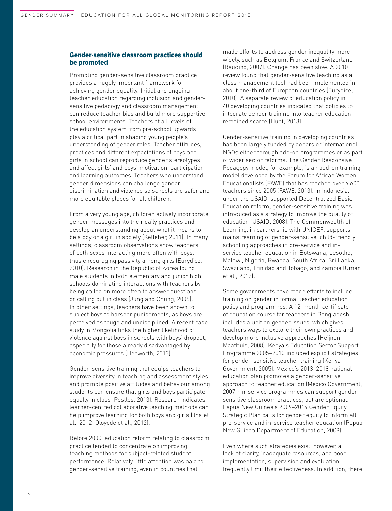### Gender-sensitive classroom practices should be promoted

Promoting gender-sensitive classroom practice provides a hugely important framework for achieving gender equality. Initial and ongoing teacher education regarding inclusion and gendersensitive pedagogy and classroom management can reduce teacher bias and build more supportive school environments. Teachers at all levels of the education system from pre-school upwards play a critical part in shaping young people's understanding of gender roles. Teacher attitudes, practices and different expectations of boys and girls in school can reproduce gender stereotypes and affect girls' and boys' motivation, participation and learning outcomes. Teachers who understand gender dimensions can challenge gender discrimination and violence so schools are safer and more equitable places for all children.

From a very young age, children actively incorporate gender messages into their daily practices and develop an understanding about what it means to be a boy or a girl in society (Kelleher, 2011). In many settings, classroom observations show teachers of both sexes interacting more often with boys, thus encouraging passivity among girls (Eurydice, 2010). Research in the Republic of Korea found male students in both elementary and junior high schools dominating interactions with teachers by being called on more often to answer questions or calling out in class (Jung and Chung, 2006). In other settings, teachers have been shown to subject boys to harsher punishments, as boys are perceived as tough and undisciplined. A recent case study in Mongolia links the higher likelihood of violence against boys in schools with boys' dropout, especially for those already disadvantaged by economic pressures (Hepworth, 2013).

Gender-sensitive training that equips teachers to improve diversity in teaching and assessment styles and promote positive attitudes and behaviour among students can ensure that girls and boys participate equally in class (Postles, 2013). Research indicates learner-centred collaborative teaching methods can help improve learning for both boys and girls (Jha et al., 2012; Oloyede et al., 2012).

Before 2000, education reform relating to classroom practice tended to concentrate on improving teaching methods for subject-related student performance. Relatively little attention was paid to gender-sensitive training, even in countries that

made efforts to address gender inequality more widely, such as Belgium, France and Switzerland (Baudino, 2007). Change has been slow. A 2010 review found that gender-sensitive teaching as a class management tool had been implemented in about one-third of European countries (Eurydice, 2010). A separate review of education policy in 40 developing countries indicated that policies to integrate gender training into teacher education remained scarce (Hunt, 2013).

Gender-sensitive training in developing countries has been largely funded by donors or international NGOs either through add-on programmes or as part of wider sector reforms. The Gender Responsive Pedagogy model, for example, is an add-on training model developed by the Forum for African Women Educationalists (FAWE) that has reached over 6,600 teachers since 2005 (FAWE, 2013). In Indonesia, under the USAID-supported Decentralized Basic Education reform, gender-sensitive training was introduced as a strategy to improve the quality of education (USAID, 2008). The Commonwealth of Learning, in partnership with UNICEF, supports mainstreaming of gender-sensitive, child-friendly schooling approaches in pre-service and inservice teacher education in Botswana, Lesotho, Malawi, Nigeria, Rwanda, South Africa, Sri Lanka, Swaziland, Trinidad and Tobago, and Zambia (Umar et al., 2012).

Some governments have made efforts to include training on gender in formal teacher education policy and programmes. A 12-month certificate of education course for teachers in Bangladesh includes a unit on gender issues, which gives teachers ways to explore their own practices and develop more inclusive approaches (Heijnen-Maathuis, 2008). Kenya's Education Sector Support Programme 2005–2010 included explicit strategies for gender-sensitive teacher training (Kenya Government, 2005). Mexico's 2013–2018 national education plan promotes a gender-sensitive approach to teacher education (Mexico Government, 2007); in-service programmes can support gendersensitive classroom practices, but are optional. Papua New Guinea's 2009–2014 Gender Equity Strategic Plan calls for gender equity to inform all pre-service and in-service teacher education (Papua New Guinea Department of Education, 2009).

Even where such strategies exist, however, a lack of clarity, inadequate resources, and poor implementation, supervision and evaluation frequently limit their effectiveness. In addition, there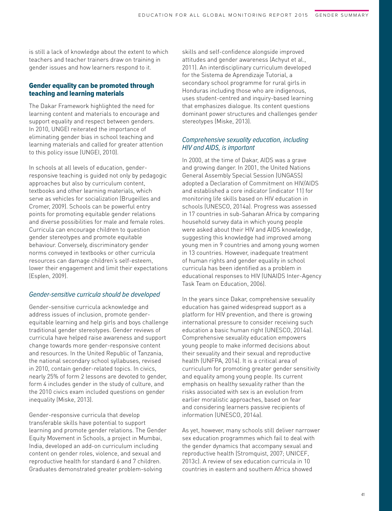is still a lack of knowledge about the extent to which teachers and teacher trainers draw on training in gender issues and how learners respond to it.

## Gender equality can be promoted through teaching and learning materials

The Dakar Framework highlighted the need for learning content and materials to encourage and support equality and respect between genders. In 2010, UNGEI reiterated the importance of eliminating gender bias in school teaching and learning materials and called for greater attention to this policy issue (UNGEI, 2010).

In schools at all levels of education, genderresponsive teaching is guided not only by pedagogic approaches but also by curriculum content, textbooks and other learning materials, which serve as vehicles for socialization (Brugeilles and Cromer, 2009). Schools can be powerful entry points for promoting equitable gender relations and diverse possibilities for male and female roles. Curricula can encourage children to question gender stereotypes and promote equitable behaviour. Conversely, discriminatory gender norms conveyed in textbooks or other curricula resources can damage children's self-esteem, lower their engagement and limit their expectations (Esplen, 2009).

## Gender-sensitive curricula should be developed

Gender-sensitive curricula acknowledge and address issues of inclusion, promote genderequitable learning and help girls and boys challenge traditional gender stereotypes. Gender reviews of curricula have helped raise awareness and support change towards more gender-responsive content and resources. In the United Republic of Tanzania, the national secondary school syllabuses, revised in 2010, contain gender-related topics. In civics, nearly 25% of form 2 lessons are devoted to gender, form 4 includes gender in the study of culture, and the 2010 civics exam included questions on gender inequality (Miske, 2013).

Gender-responsive curricula that develop transferable skills have potential to support learning and promote gender relations. The Gender Equity Movement in Schools, a project in Mumbai, India, developed an add-on curriculum including content on gender roles, violence, and sexual and reproductive health for standard 6 and 7 children. Graduates demonstrated greater problem-solving

skills and self-confidence alongside improved attitudes and gender awareness (Achyut et al., 2011). An interdisciplinary curriculum developed for the Sistema de Aprendizaje Tutorial, a secondary school programme for rural girls in Honduras including those who are indigenous, uses student-centred and inquiry-based learning that emphasizes dialogue. Its content questions dominant power structures and challenges gender stereotypes (Miske, 2013).

## Comprehensive sexuality education, including HIV and AIDS, is important

In 2000, at the time of Dakar, AIDS was a grave and growing danger. In 2001, the United Nations General Assembly Special Session (UNGASS) adopted a Declaration of Commitment on HIV/AIDS and established a core indicator (indicator 11) for monitoring life skills based on HIV education in schools (UNESCO, 2014a). Progress was assessed in 17 countries in sub-Saharan Africa by comparing household survey data in which young people were asked about their HIV and AIDS knowledge, suggesting this knowledge had improved among young men in 9 countries and among young women in 13 countries. However, inadequate treatment of human rights and gender equality in school curricula has been identified as a problem in educational responses to HIV (UNAIDS Inter-Agency Task Team on Education, 2006).

In the years since Dakar, comprehensive sexuality education has gained widespread support as a platform for HIV prevention, and there is growing international pressure to consider receiving such education a basic human right (UNESCO, 2014a). Comprehensive sexuality education empowers young people to make informed decisions about their sexuality and their sexual and reproductive health (UNFPA, 2014). It is a critical area of curriculum for promoting greater gender sensitivity and equality among young people. Its current emphasis on healthy sexuality rather than the risks associated with sex is an evolution from earlier moralistic approaches, based on fear and considering learners passive recipients of information (UNESCO, 2014a).

As yet, however, many schools still deliver narrower sex education programmes which fail to deal with the gender dynamics that accompany sexual and reproductive health (Stromquist, 2007; UNICEF, 2013c). A review of sex education curricula in 10 countries in eastern and southern Africa showed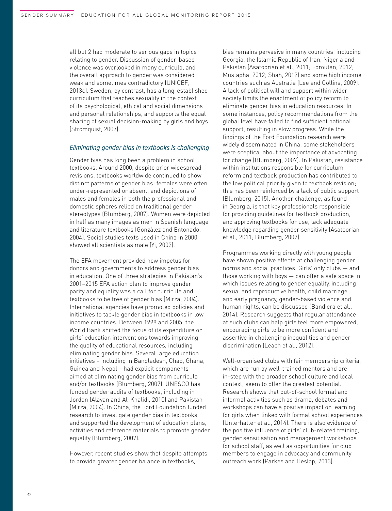all but 2 had moderate to serious gaps in topics relating to gender. Discussion of gender-based violence was overlooked in many curricula, and the overall approach to gender was considered weak and sometimes contradictory (UNICEF, 2013c). Sweden, by contrast, has a long-established curriculum that teaches sexuality in the context of its psychological, ethical and social dimensions and personal relationships, and supports the equal sharing of sexual decision-making by girls and boys (Stromquist, 2007).

### Eliminating gender bias in textbooks is challenging

Gender bias has long been a problem in school textbooks. Around 2000, despite prior widespread revisions, textbooks worldwide continued to show distinct patterns of gender bias: females were often under-represented or absent, and depictions of males and females in both the professional and domestic spheres relied on traditional gender stereotypes (Blumberg, 2007). Women were depicted in half as many images as men in Spanish language and literature textbooks (González and Entonado, 2004). Social studies texts used in China in 2000 showed all scientists as male (Yi, 2002).

The EFA movement provided new impetus for donors and governments to address gender bias in education. One of three strategies in Pakistan's 2001–2015 EFA action plan to improve gender parity and equality was a call for curricula and textbooks to be free of gender bias (Mirza, 2004). International agencies have promoted policies and initiatives to tackle gender bias in textbooks in low income countries. Between 1998 and 2005, the World Bank shifted the focus of its expenditure on girls' education interventions towards improving the quality of educational resources, including eliminating gender bias. Several large education initiatives – including in Bangladesh, Chad, Ghana, Guinea and Nepal – had explicit components aimed at eliminating gender bias from curricula and/or textbooks (Blumberg, 2007). UNESCO has funded gender audits of textbooks, including in Jordan (Alayan and Al-Khalidi, 2010) and Pakistan (Mirza, 2004). In China, the Ford Foundation funded research to investigate gender bias in textbooks and supported the development of education plans, activities and reference materials to promote gender equality (Blumberg, 2007).

However, recent studies show that despite attempts to provide greater gender balance in textbooks,

bias remains pervasive in many countries, including Georgia, the Islamic Republic of Iran, Nigeria and Pakistan (Asatoorian et al., 2011; Foroutan, 2012; Mustapha, 2012; Shah, 2012) and some high income countries such as Australia (Lee and Collins, 2009). A lack of political will and support within wider society limits the enactment of policy reform to eliminate gender bias in education resources. In some instances, policy recommendations from the global level have failed to find sufficient national support, resulting in slow progress. While the findings of the Ford Foundation research were widely disseminated in China, some stakeholders were sceptical about the importance of advocating for change (Blumberg, 2007). In Pakistan, resistance within institutions responsible for curriculum reform and textbook production has contributed to the low political priority given to textbook revision; this has been reinforced by a lack of public support (Blumberg, 2015). Another challenge, as found in Georgia, is that key professionals responsible for providing guidelines for textbook production, and approving textbooks for use, lack adequate knowledge regarding gender sensitivity (Asatoorian et al., 2011; Blumberg, 2007).

Programmes working directly with young people have shown positive effects at challenging gender norms and social practices. Girls' only clubs — and those working with boys — can offer a safe space in which issues relating to gender equality, including sexual and reproductive health, child marriage and early pregnancy, gender-based violence and human rights, can be discussed (Bandiera et al., 2014). Research suggests that regular attendance at such clubs can help girls feel more empowered, encouraging girls to be more confident and assertive in challenging inequalities and gender discrimination (Leach et al., 2012).

Well-organised clubs with fair membership criteria, which are run by well-trained mentors and are in-step with the broader school culture and local context, seem to offer the greatest potential. Research shows that out-of-school formal and informal activities such as drama, debates and workshops can have a positive impact on learning for girls when linked with formal school experiences (Unterhalter et al., 2014). There is also evidence of the positive influence of girls' club-related training, gender sensitisation and management workshops for school staff, as well as opportunities for club members to engage in advocacy and community outreach work (Parkes and Heslop, 2013).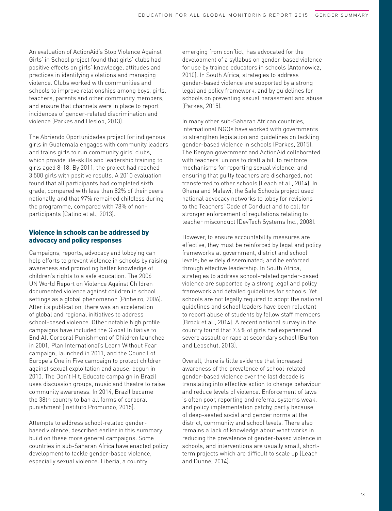An evaluation of ActionAid's Stop Violence Against Girls' in School project found that girls' clubs had positive effects on girls' knowledge, attitudes and practices in identifying violations and managing violence. Clubs worked with communities and schools to improve relationships among boys, girls, teachers, parents and other community members, and ensure that channels were in place to report incidences of gender-related discrimination and violence (Parkes and Heslop, 2013).

The Abriendo Oportunidades project for indigenous girls in Guatemala engages with community leaders and trains girls to run community girls' clubs, which provide life-skills and leadership training to girls aged 8-18. By 2011, the project had reached 3,500 girls with positive results. A 2010 evaluation found that all participants had completed sixth grade, compared with less than 82% of their peers nationally, and that 97% remained childless during the programme, compared with 78% of nonparticipants (Catino et al., 2013).

## Violence in schools can be addressed by advocacy and policy responses

Campaigns, reports, advocacy and lobbying can help efforts to prevent violence in schools by raising awareness and promoting better knowledge of children's rights to a safe education. The 2006 UN World Report on Violence Against Children documented violence against children in school settings as a global phenomenon (Pinheiro, 2006). After its publication, there was an acceleration of global and regional initiatives to address school-based violence. Other notable high profile campaigns have included the Global Initiative to End All Corporal Punishment of Children launched in 2001, Plan International's Learn Without Fear campaign, launched in 2011, and the Council of Europe's One in Five campaign to protect children against sexual exploitation and abuse, begun in 2010. The Don't Hit, Educate campaign in Brazil uses discussion groups, music and theatre to raise community awareness. In 2014, Brazil became the 38th country to ban all forms of corporal punishment (Instituto Promundo, 2015).

Attempts to address school-related genderbased violence, described earlier in this summary, build on these more general campaigns. Some countries in sub-Saharan Africa have enacted policy development to tackle gender-based violence, especially sexual violence. Liberia, a country

emerging from conflict, has advocated for the development of a syllabus on gender-based violence for use by trained educators in schools (Antonowicz, 2010). In South Africa, strategies to address gender-based violence are supported by a strong legal and policy framework, and by guidelines for schools on preventing sexual harassment and abuse (Parkes, 2015).

In many other sub-Saharan African countries, international NGOs have worked with governments to strengthen legislation and guidelines on tackling gender-based violence in schools (Parkes, 2015). The Kenyan government and ActionAid collaborated with teachers' unions to draft a bill to reinforce mechanisms for reporting sexual violence, and ensuring that guilty teachers are discharged, not transferred to other schools (Leach et al., 2014). In Ghana and Malawi, the Safe Schools project used national advocacy networks to lobby for revisions to the Teachers' Code of Conduct and to call for stronger enforcement of regulations relating to teacher misconduct (DevTech Systems Inc., 2008).

However, to ensure accountability measures are effective, they must be reinforced by legal and policy frameworks at government, district and school levels; be widely disseminated; and be enforced through effective leadership. In South Africa, strategies to address school-related gender-based violence are supported by a strong legal and policy framework and detailed guidelines for schools. Yet schools are not legally required to adopt the national guidelines and school leaders have been reluctant to report abuse of students by fellow staff members (Brock et al., 2014). A recent national survey in the country found that 7.6% of girls had experienced severe assault or rape at secondary school (Burton and Leoschut, 2013).

Overall, there is little evidence that increased awareness of the prevalence of school-related gender-based violence over the last decade is translating into effective action to change behaviour and reduce levels of violence. Enforcement of laws is often poor, reporting and referral systems weak, and policy implementation patchy, partly because of deep-seated social and gender norms at the district, community and school levels. There also remains a lack of knowledge about what works in reducing the prevalence of gender-based violence in schools, and interventions are usually small, shortterm projects which are difficult to scale up (Leach and Dunne, 2014).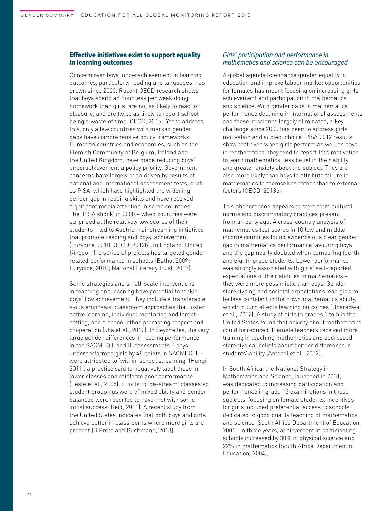### Effective initiatives exist to support equality in learning outcomes

Concern over boys' underachievement in learning outcomes, particularly reading and languages, has grown since 2000. Recent OECD research shows that boys spend an hour less per week doing homework than girls, are not as likely to read for pleasure, and are twice as likely to report school being a waste of time (OECD, 2015). Yet to address this, only a few countries with marked gender gaps have comprehensive policy frameworks. European countries and economies, such as the Flemish Community of Belgium, Ireland and the United Kingdom, have made reducing boys' underachievement a policy priority. Government concerns have largely been driven by results of national and international assessment tests, such as PISA, which have highlighted the widening gender gap in reading skills and have received significant media attention in some countries. The 'PISA shock' in 2000 – when countries were surprised at the relatively low scores of their students – led to Austria mainstreaming initiatives that promote reading and boys' achievement (Eurydice, 2010; OECD, 2012b). In England (United Kingdom), a series of projects has targeted genderrelated performance in schools (Batho, 2009; Eurydice, 2010; National Literacy Trust, 2012).

Some strategies and small-scale interventions in teaching and learning have potential to tackle boys' low achievement. They include a transferable skills emphasis, classroom approaches that foster active learning, individual mentoring and targetsetting, and a school ethos promoting respect and cooperation (Jha et al., 2012). In Seychelles, the very large gender differences in reading performance in the SACMEQ II and III assessments – boys underperformed girls by 48 points in SACMEQ III – were attributed to 'within-school streaming' (Hungi, 2011), a practice said to negatively label those in lower classes and reinforce poor performance (Leste et al., 2005). Efforts to 'de-stream' classes so student groupings were of mixed ability and genderbalanced were reported to have met with some initial success (Reid, 2011). A recent study from the United States indicates that both boys and girls achieve better in classrooms where more girls are present (DiPrete and Buchmann, 2013).

## Girls' participation and performance in mathematics and science can be encouraged

A global agenda to enhance gender equality in education and improve labour market opportunities for females has meant focusing on increasing girls' achievement and participation in mathematics and science. With gender gaps in mathematics performance declining in international assessments and those in science largely eliminated, a key challenge since 2000 has been to address girls' motivation and subject choice. PISA 2012 results show that even when girls perform as well as boys in mathematics, they tend to report less motivation to learn mathematics, less belief in their ability and greater anxiety about the subject. They are also more likely than boys to attribute failure in mathematics to themselves rather than to external factors (OECD, 2013b).

This phenomenon appears to stem from cultural norms and discriminatory practices present from an early age. A cross-country analysis of mathematics test scores in 10 low and middle income countries found evidence of a clear gender gap in mathematics performance favouring boys, and the gap nearly doubled when comparing fourth and eighth grade students. Lower performance was strongly associated with girls' self-reported expectations of their abilities in mathematics – they were more pessimistic than boys. Gender stereotyping and societal expectations lead girls to be less confident in their own mathematics ability, which in turn affects learning outcomes (Bharadwaj et al., 2012). A study of girls in grades 1 to 5 in the United States found that anxiety about mathematics could be reduced if female teachers received more training in teaching mathematics and addressed stereotypical beliefs about gender differences in students' ability (Antecol et al., 2012).

In South Africa, the National Strategy in Mathematics and Science, launched in 2001, was dedicated to increasing participation and performance in grade 12 examinations in these subjects, focusing on female students. Incentives for girls included preferential access to schools dedicated to good quality teaching of mathematics and science (South Africa Department of Education, 2001). In three years, achievement in participating schools increased by 30% in physical science and 22% in mathematics (South Africa Department of Education, 2004).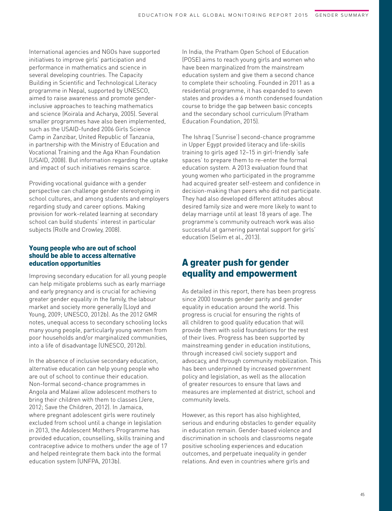International agencies and NGOs have supported initiatives to improve girls' participation and performance in mathematics and science in several developing countries. The Capacity Building in Scientific and Technological Literacy programme in Nepal, supported by UNESCO, aimed to raise awareness and promote genderinclusive approaches to teaching mathematics and science (Koirala and Acharya, 2005). Several smaller programmes have also been implemented, such as the USAID-funded 2006 Girls Science Camp in Zanzibar, United Republic of Tanzania, in partnership with the Ministry of Education and Vocational Training and the Aga Khan Foundation (USAID, 2008). But information regarding the uptake and impact of such initiatives remains scarce.

Providing vocational guidance with a gender perspective can challenge gender stereotyping in school cultures, and among students and employers regarding study and career options. Making provision for work-related learning at secondary school can build students' interest in particular subjects (Rolfe and Crowley, 2008).

## Young people who are out of school should be able to access alternative education opportunities

Improving secondary education for all young people can help mitigate problems such as early marriage and early pregnancy and is crucial for achieving greater gender equality in the family, the labour market and society more generally (Lloyd and Young, 2009; UNESCO, 2012b). As the 2012 GMR notes, unequal access to secondary schooling locks many young people, particularly young women from poor households and/or marginalized communities, into a life of disadvantage (UNESCO, 2012b).

In the absence of inclusive secondary education, alternative education can help young people who are out of school to continue their education. Non-formal second-chance programmes in Angola and Malawi allow adolescent mothers to bring their children with them to classes (Jere, 2012; Save the Children, 2012). In Jamaica, where pregnant adolescent girls were routinely excluded from school until a change in legislation in 2013, the Adolescent Mothers Programme has provided education, counselling, skills training and contraceptive advice to mothers under the age of 17 and helped reintegrate them back into the formal education system (UNFPA, 2013b).

In India, the Pratham Open School of Education (POSE) aims to reach young girls and women who have been marginalized from the mainstream education system and give them a second chance to complete their schooling. Founded in 2011 as a residential programme, it has expanded to seven states and provides a 6 month condensed foundation course to bridge the gap between basic concepts and the secondary school curriculum (Pratham Education Foundation, 2015).

The Ishraq ('Sunrise') second-chance programme in Upper Egypt provided literacy and life-skills training to girls aged 12–15 in girl-friendly 'safe spaces' to prepare them to re-enter the formal education system. A 2013 evaluation found that young women who participated in the programme had acquired greater self-esteem and confidence in decision-making than peers who did not participate. They had also developed different attitudes about desired family size and were more likely to want to delay marriage until at least 18 years of age. The programme's community outreach work was also successful at garnering parental support for girls' education (Selim et al., 2013).

## A greater push for gender equality and empowerment

As detailed in this report, there has been progress since 2000 towards gender parity and gender equality in education around the world. This progress is crucial for ensuring the rights of all children to good quality education that will provide them with solid foundations for the rest of their lives. Progress has been supported by mainstreaming gender in education institutions, through increased civil society support and advocacy, and through community mobilization. This has been underpinned by increased government policy and legislation, as well as the allocation of greater resources to ensure that laws and measures are implemented at district, school and community levels.

However, as this report has also highlighted, serious and enduring obstacles to gender equality in education remain. Gender-based violence and discrimination in schools and classrooms negate positive schooling experiences and education outcomes, and perpetuate inequality in gender relations. And even in countries where girls and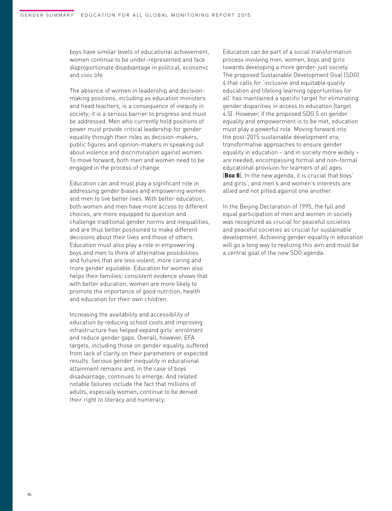boys have similar levels of educational achievement, women continue to be under-represented and face disproportionate disadvantage in political, economic and civic life.

The absence of women in leadership and decisionmaking positions, including as education ministers and head teachers, is a consequence of inequity in society; it is a serious barrier to progress and must be addressed. Men who currently hold positions of power must provide critical leadership for gender equality through their roles as decision-makers, public figures and opinion-makers in speaking out about violence and discrimination against women. To move forward, both men and women need to be engaged in the process of change.

Education can and must play a significant role in addressing gender biases and empowering women and men to live better lives. With better education, both women and men have more access to different choices, are more equipped to question and challenge traditional gender norms and inequalities, and are thus better positioned to make different decisions about their lives and those of others. Education must also play a role in empowering boys and men to think of alternative possibilities and futures that are less violent, more caring and more gender equitable. Education for women also helps their families: consistent evidence shows that with better education, women are more likely to promote the importance of good nutrition, health and education for their own children.

Increasing the availability and accessibility of education by reducing school costs and improving infrastructure has helped expand girls' enrolment and reduce gender gaps. Overall, however, EFA targets, including those on gender equality, suffered from lack of clarity on their parameters or expected results. Serious gender inequality in educational attainment remains and, in the case of boys' disadvantage, continues to emerge. And related notable failures include the fact that millions of adults, especially women, continue to be denied their right to literacy and numeracy.

Education can be part of a social transformation process involving men, women, boys and girls towards developing a more gender-just society. The proposed Sustainable Development Goal (SDG) 4 that calls for 'inclusive and equitable quality education and lifelong learning opportunities for all' has maintained a specific target for eliminating gender disparities in access to education (target 4.5). However, if the proposed SDG 5 on gender equality and empowerment is to be met, education must play a powerful role. Moving forward into the post-2015 sustainable development era, transformative approaches to ensure gender equality in education – and in society more widely – are needed, encompassing formal and non-formal educational provision for learners of all ages (**Box 8**). In the new agenda, it is crucial that boys' and girls', and men's and women's interests are allied and not pitted against one another.

In the Beijing Declaration of 1995, the full and equal participation of men and women in society was recognized as crucial for peaceful societies and peaceful societies as crucial for sustainable development. Achieving gender equality in education will go a long way to realizing this aim and must be a central goal of the new SDG agenda.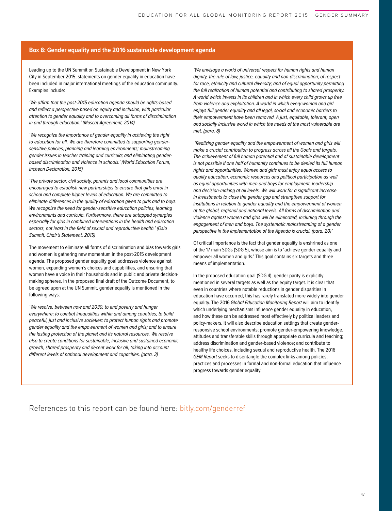#### **Box 8: Gender equality and the 2016 sustainable development agenda**

Leading up to the UN Summit on Sustainable Development in New York City in September 2015, statements on gender equality in education have been included in major international meetings of the education community. Examples include:

'We affirm that the post-2015 education agenda should be rights-based and reflect a perspective based on equity and inclusion, with particular attention to gender equality and to overcoming all forms of discrimination in and through education.' (Muscat Agreement, 2014)

'We recognize the importance of gender equality in achieving the right to education for all. We are therefore committed to supporting gendersensitive policies, planning and learning environments; mainstreaming gender issues in teacher training and curricula; and eliminating genderbased discrimination and violence in schools.' (World Education Forum, Incheon Declaration, 2015)

'The private sector, civil society, parents and local communities are encouraged to establish new partnerships to ensure that girls enrol in school and complete higher levels of education. We are committed to eliminate differences in the quality of education given to girls and to boys. We recognize the need for gender-sensitive education policies, learning environments and curricula. Furthermore, there are untapped synergies especially for girls in combined interventions in the health and education sectors, not least in the field of sexual and reproductive health.' (Oslo Summit, Chair's Statement, 2015)

The movement to eliminate all forms of discrimination and bias towards girls and women is gathering new momentum in the post-2015 development agenda. The proposed gender equality goal addresses violence against women, expanding women's choices and capabilities, and ensuring that women have a voice in their households and in public and private decisionmaking spheres. In the proposed final draft of the Outcome Document, to be agreed upon at the UN Summit, gender equality is mentioned in the following ways:

'We resolve, between now and 2030, to end poverty and hunger everywhere; to combat inequalities within and among countries; to build peaceful, just and inclusive societies; to protect human rights and promote gender equality and the empowerment of women and girls; and to ensure the lasting protection of the planet and its natural resources. We resolve also to create conditions for sustainable, inclusive and sustained economic growth, shared prosperity and decent work for all, taking into account different levels of national development and capacities. (para. 3)

'We envisage a world of universal respect for human rights and human dignity, the rule of law, justice, equality and non-discrimination; of respect for race, ethnicity and cultural diversity; and of equal opportunity permitting the full realization of human potential and contributing to shared prosperity. A world which invests in its children and in which every child grows up free from violence and exploitation. A world in which every woman and girl enjoys full gender equality and all legal, social and economic barriers to their empowerment have been removed. A just, equitable, tolerant, open and socially inclusive world in which the needs of the most vulnerable are met. (para. 8)

 'Realizing gender equality and the empowerment of women and girls will make a crucial contribution to progress across all the Goals and targets. The achievement of full human potential and of sustainable development is not possible if one half of humanity continues to be denied its full human rights and opportunities. Women and girls must enjoy equal access to quality education, economic resources and political participation as well as equal opportunities with men and boys for employment, leadership and decision-making at all levels. We will work for a significant increase in investments to close the gender gap and strengthen support for institutions in relation to gender equality and the empowerment of women at the global, regional and national levels. All forms of discrimination and violence against women and girls will be eliminated, including through the engagement of men and boys. The systematic mainstreaming of a gender perspective in the implementation of the Agenda is crucial. (para. 20)'

Of critical importance is the fact that gender equality is enshrined as one of the 17 main SDGs (SDG 5), whose aim is to 'achieve gender equality and empower all women and girls.' This goal contains six targets and three means of implementation.

In the proposed education goal (SDG 4), gender parity is explicitly mentioned in several targets as well as the equity target. It is clear that even in countries where notable reductions in gender disparities in education have occurred, this has rarely translated more widely into gender equality. The 2016 Global Education Monitoring Report will aim to identify which underlying mechanisms influence gender equality in education, and how these can be addressed most effectively by political leaders and policy-makers. It will also describe education settings that create genderresponsive school environments; promote gender-empowering knowledge, attitudes and transferable skills through appropriate curricula and teaching; address discrimination and gender-based violence; and contribute to healthy life choices, including sexual and reproductive health. The 2016 GEM Report seeks to disentangle the complex links among policies, practices and processes in formal and non-formal education that influence progress towards gender equality.

References to this report can be found here: bitly.com/genderref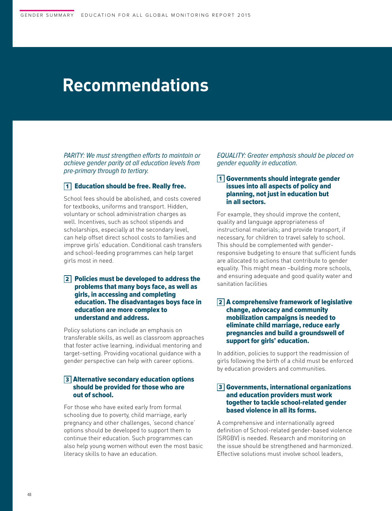## <span id="page-54-0"></span>**Recommendations**

PARITY: We must strengthen efforts to maintain or achieve gender parity at all education levels from pre-primary through to tertiary.

## 1 Education should be free. Really free.

School fees should be abolished, and costs covered for textbooks, uniforms and transport. Hidden, voluntary or school administration charges as well. Incentives, such as school stipends and scholarships, especially at the secondary level, can help offset direct school costs to families and improve girls' education. Conditional cash transfers and school-feeding programmes can help target girls most in need.

## 2 Policies must be developed to address the problems that many boys face, as well as girls, in accessing and completing education. The disadvantages boys face in education are more complex to understand and address.

Policy solutions can include an emphasis on transferable skills, as well as classroom approaches that foster active learning, individual mentoring and target-setting. Providing vocational guidance with a gender perspective can help with career options.

## 3 Alternative secondary education options should be provided for those who are out of school.

For those who have exited early from formal schooling due to poverty, child marriage, early pregnancy and other challenges, 'second chance' options should be developed to support them to continue their education. Such programmes can also help young women without even the most basic literacy skills to have an education.

EQUALITY: Greater emphasis should be placed on gender equality in education.

## 1 Governments should integrate gender issues into all aspects of policy and planning, not just in education but in all sectors.

For example, they should improve the content, quality and language appropriateness of instructional materials; and provide transport, if necessary, for children to travel safely to school. This should be complemented with genderresponsive budgeting to ensure that sufficient funds are allocated to actions that contribute to gender equality. This might mean –building more schools, and ensuring adequate and good quality water and sanitation facilities

## 2 A comprehensive framework of legislative change, advocacy and community mobilization campaigns is needed to eliminate child marriage, reduce early pregnancies and build a groundswell of support for girls' education.

In addition, policies to support the readmission of girls following the birth of a child must be enforced by education providers and communities.

## 3 Governments, international organizations and education providers must work together to tackle school-related gender based violence in all its forms.

A comprehensive and internationally agreed definition of School-related gender-based violence (SRGBV) is needed. Research and monitoring on the issue should be strengthened and harmonized. Effective solutions must involve school leaders,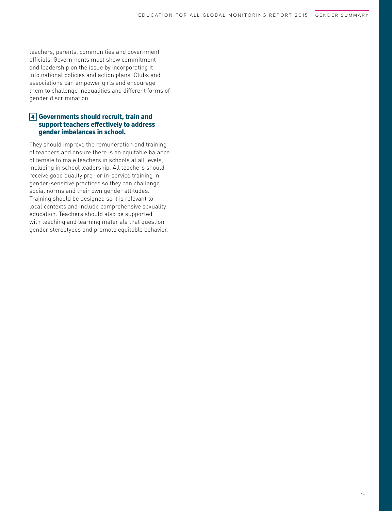teachers, parents, communities and government officials. Governments must show commitment and leadership on the issue by incorporating it into national policies and action plans. Clubs and associations can empower girls and encourage them to challenge inequalities and different forms of gender discrimination.

## 4 Governments should recruit, train and support teachers effectively to address gender imbalances in school.

They should improve the remuneration and training of teachers and ensure there is an equitable balance of female to male teachers in schools at all levels, including in school leadership. All teachers should receive good quality pre- or in-service training in gender-sensitive practices so they can challenge social norms and their own gender attitudes. Training should be designed so it is relevant to local contexts and include comprehensive sexuality education. Teachers should also be supported with teaching and learning materials that question gender stereotypes and promote equitable behavior.